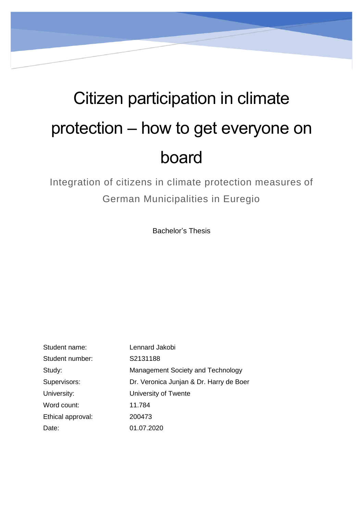# Citizen participation in climate protection – how to get everyone on board

Integration of citizens in climate protection measures of German Municipalities in Euregio

Bachelor's Thesis

| Student name:     | Lennard Jakobi                          |
|-------------------|-----------------------------------------|
| Student number:   | S2131188                                |
| Study:            | Management Society and Technology       |
| Supervisors:      | Dr. Veronica Junjan & Dr. Harry de Boer |
| University:       | University of Twente                    |
| Word count:       | 11.784                                  |
| Ethical approval: | 200473                                  |
| Date:             | 01.07.2020                              |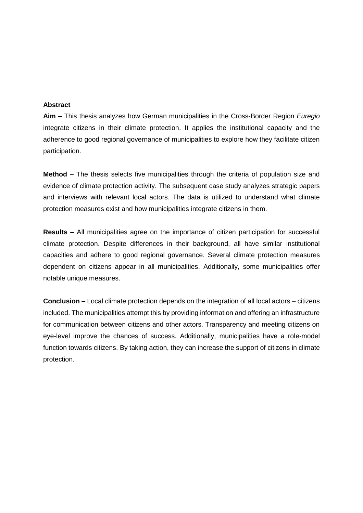#### **Abstract**

**Aim –** This thesis analyzes how German municipalities in the Cross-Border Region *Euregio* integrate citizens in their climate protection. It applies the institutional capacity and the adherence to good regional governance of municipalities to explore how they facilitate citizen participation.

**Method –** The thesis selects five municipalities through the criteria of population size and evidence of climate protection activity. The subsequent case study analyzes strategic papers and interviews with relevant local actors. The data is utilized to understand what climate protection measures exist and how municipalities integrate citizens in them.

**Results –** All municipalities agree on the importance of citizen participation for successful climate protection. Despite differences in their background, all have similar institutional capacities and adhere to good regional governance. Several climate protection measures dependent on citizens appear in all municipalities. Additionally, some municipalities offer notable unique measures.

**Conclusion –** Local climate protection depends on the integration of all local actors – citizens included. The municipalities attempt this by providing information and offering an infrastructure for communication between citizens and other actors. Transparency and meeting citizens on eye-level improve the chances of success. Additionally, municipalities have a role-model function towards citizens. By taking action, they can increase the support of citizens in climate protection.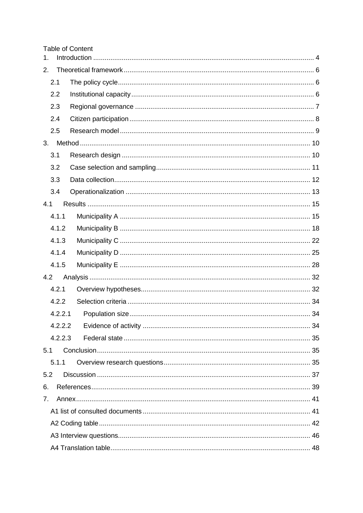|  | <b>Table of Content</b> |
|--|-------------------------|
|--|-------------------------|

| 1.  |         |    |
|-----|---------|----|
| 2.  |         |    |
|     | 2.1     |    |
|     | 2.2     |    |
|     | 2.3     |    |
|     | 2.4     |    |
|     | 2.5     |    |
| 3.  |         |    |
|     | 3.1     |    |
|     | 3.2     |    |
|     | 3.3     |    |
|     | 3.4     |    |
| 4.1 |         |    |
|     | 4.1.1   |    |
|     | 4.1.2   |    |
|     | 4.1.3   |    |
|     | 4.1.4   |    |
|     | 4.1.5   |    |
| 4.2 |         |    |
|     | 4.2.1   |    |
|     | 4.2.2   |    |
|     | 4.2.2.1 |    |
|     | 4.2.2.2 | 34 |
|     | 4.2.2.3 |    |
| 5.1 |         |    |
|     | 5.1.1   |    |
| 5.2 |         |    |
| 6.  |         |    |
| 7.  |         |    |
|     |         |    |
|     |         |    |
|     |         |    |
|     |         |    |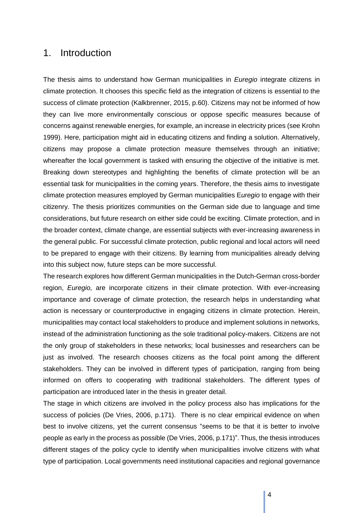## <span id="page-3-0"></span>1. Introduction

The thesis aims to understand how German municipalities in *Euregio* integrate citizens in climate protection. It chooses this specific field as the integration of citizens is essential to the success of climate protection (Kalkbrenner, 2015, p.60). Citizens may not be informed of how they can live more environmentally conscious or oppose specific measures because of concerns against renewable energies, for example, an increase in electricity prices (see Krohn 1999). Here, participation might aid in educating citizens and finding a solution. Alternatively, citizens may propose a climate protection measure themselves through an initiative; whereafter the local government is tasked with ensuring the objective of the initiative is met. Breaking down stereotypes and highlighting the benefits of climate protection will be an essential task for municipalities in the coming years. Therefore, the thesis aims to investigate climate protection measures employed by German municipalities E*uregio* to engage with their citizenry. The thesis prioritizes communities on the German side due to language and time considerations, but future research on either side could be exciting. Climate protection, and in the broader context, climate change, are essential subjects with ever-increasing awareness in the general public. For successful climate protection, public regional and local actors will need to be prepared to engage with their citizens. By learning from municipalities already delving into this subject now, future steps can be more successful.

The research explores how different German municipalities in the Dutch-German cross-border region, *Euregio,* are incorporate citizens in their climate protection. With ever-increasing importance and coverage of climate protection, the research helps in understanding what action is necessary or counterproductive in engaging citizens in climate protection. Herein, municipalities may contact local stakeholders to produce and implement solutions in networks, instead of the administration functioning as the sole traditional policy-makers. Citizens are not the only group of stakeholders in these networks; local businesses and researchers can be just as involved. The research chooses citizens as the focal point among the different stakeholders. They can be involved in different types of participation, ranging from being informed on offers to cooperating with traditional stakeholders. The different types of participation are introduced later in the thesis in greater detail.

The stage in which citizens are involved in the policy process also has implications for the success of policies (De Vries, 2006, p.171). There is no clear empirical evidence on when best to involve citizens, yet the current consensus "seems to be that it is better to involve people as early in the process as possible (De Vries, 2006, p.171)". Thus, the thesis introduces different stages of the policy cycle to identify when municipalities involve citizens with what type of participation. Local governments need institutional capacities and regional governance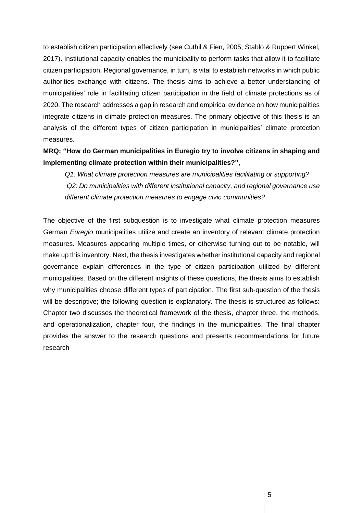to establish citizen participation effectively (see Cuthil & Fien, 2005; Stablo & Ruppert Winkel, 2017). Institutional capacity enables the municipality to perform tasks that allow it to facilitate citizen participation. Regional governance, in turn, is vital to establish networks in which public authorities exchange with citizens. The thesis aims to achieve a better understanding of municipalities' role in facilitating citizen participation in the field of climate protections as of 2020. The research addresses a gap in research and empirical evidence on how municipalities integrate citizens in climate protection measures. The primary objective of this thesis is an analysis of the different types of citizen participation in municipalities' climate protection measures.

## **MRQ: "How do German municipalities in Euregio try to involve citizens in shaping and implementing climate protection within their municipalities?",**

*Q1: What climate protection measures are municipalities facilitating or supporting? Q2: Do municipalities with different institutional capacity, and regional governance use different climate protection measures to engage civic communities?*

The objective of the first subquestion is to investigate what climate protection measures German *Euregio* municipalities utilize and create an inventory of relevant climate protection measures. Measures appearing multiple times, or otherwise turning out to be notable, will make up this inventory. Next, the thesis investigates whether institutional capacity and regional governance explain differences in the type of citizen participation utilized by different municipalities. Based on the different insights of these questions, the thesis aims to establish why municipalities choose different types of participation. The first sub-question of the thesis will be descriptive; the following question is explanatory. The thesis is structured as follows: Chapter two discusses the theoretical framework of the thesis, chapter three, the methods, and operationalization, chapter four, the findings in the municipalities. The final chapter provides the answer to the research questions and presents recommendations for future research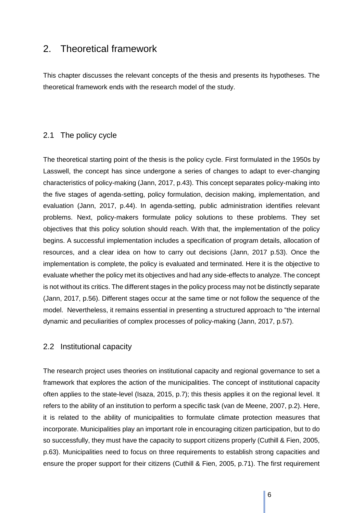## <span id="page-5-0"></span>2. Theoretical framework

This chapter discusses the relevant concepts of the thesis and presents its hypotheses. The theoretical framework ends with the research model of the study.

#### <span id="page-5-1"></span>2.1 The policy cycle

The theoretical starting point of the thesis is the policy cycle. First formulated in the 1950s by Lasswell, the concept has since undergone a series of changes to adapt to ever-changing characteristics of policy-making (Jann, 2017, p.43). This concept separates policy-making into the five stages of agenda-setting, policy formulation, decision making, implementation, and evaluation (Jann, 2017, p.44). In agenda-setting, public administration identifies relevant problems. Next, policy-makers formulate policy solutions to these problems. They set objectives that this policy solution should reach. With that, the implementation of the policy begins. A successful implementation includes a specification of program details, allocation of resources, and a clear idea on how to carry out decisions (Jann, 2017 p.53). Once the implementation is complete, the policy is evaluated and terminated. Here it is the objective to evaluate whether the policy met its objectives and had any side-effects to analyze. The concept is not without its critics. The different stages in the policy process may not be distinctly separate (Jann, 2017, p.56). Different stages occur at the same time or not follow the sequence of the model. Nevertheless, it remains essential in presenting a structured approach to "the internal dynamic and peculiarities of complex processes of policy-making (Jann, 2017, p.57).

## <span id="page-5-2"></span>2.2 Institutional capacity

The research project uses theories on institutional capacity and regional governance to set a framework that explores the action of the municipalities. The concept of institutional capacity often applies to the state-level (Isaza, 2015, p.7); this thesis applies it on the regional level. It refers to the ability of an institution to perform a specific task (van de Meene, 2007, p.2). Here, it is related to the ability of municipalities to formulate climate protection measures that incorporate. Municipalities play an important role in encouraging citizen participation, but to do so successfully, they must have the capacity to support citizens properly (Cuthill & Fien, 2005, p.63). Municipalities need to focus on three requirements to establish strong capacities and ensure the proper support for their citizens (Cuthill & Fien, 2005, p.71). The first requirement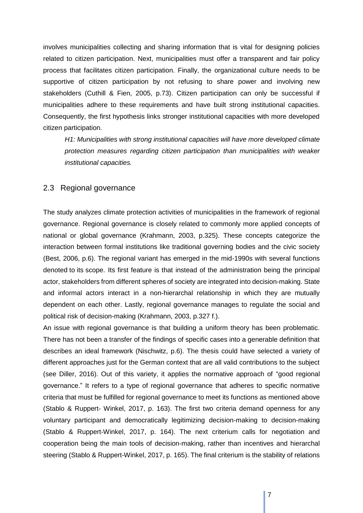involves municipalities collecting and sharing information that is vital for designing policies related to citizen participation. Next, municipalities must offer a transparent and fair policy process that facilitates citizen participation. Finally, the organizational culture needs to be supportive of citizen participation by not refusing to share power and involving new stakeholders (Cuthill & Fien, 2005, p.73). Citizen participation can only be successful if municipalities adhere to these requirements and have built strong institutional capacities. Consequently, the first hypothesis links stronger institutional capacities with more developed citizen participation.

*H1: Municipalities with strong institutional capacities will have more developed climate protection measures regarding citizen participation than municipalities with weaker institutional capacities.*

#### <span id="page-6-0"></span>2.3 Regional governance

The study analyzes climate protection activities of municipalities in the framework of regional governance. Regional governance is closely related to commonly more applied concepts of national or global governance (Krahmann, 2003, p.325). These concepts categorize the interaction between formal institutions like traditional governing bodies and the civic society (Best, 2006, p.6). The regional variant has emerged in the mid-1990s with several functions denoted to its scope. Its first feature is that instead of the administration being the principal actor, stakeholders from different spheres of society are integrated into decision-making. State and informal actors interact in a non-hierarchal relationship in which they are mutually dependent on each other. Lastly, regional governance manages to regulate the social and political risk of decision-making (Krahmann, 2003, p.327 f.).

An issue with regional governance is that building a uniform theory has been problematic. There has not been a transfer of the findings of specific cases into a generable definition that describes an ideal framework (Nischwitz, p.6). The thesis could have selected a variety of different approaches just for the German context that are all valid contributions to the subject (see Diller, 2016). Out of this variety, it applies the normative approach of "good regional governance." It refers to a type of regional governance that adheres to specific normative criteria that must be fulfilled for regional governance to meet its functions as mentioned above (Stablo & Ruppert- Winkel, 2017, p. 163). The first two criteria demand openness for any voluntary participant and democratically legitimizing decision-making to decision-making (Stablo & Ruppert-Winkel, 2017, p. 164). The next criterium calls for negotiation and cooperation being the main tools of decision-making, rather than incentives and hierarchal steering (Stablo & Ruppert-Winkel, 2017, p. 165). The final criterium is the stability of relations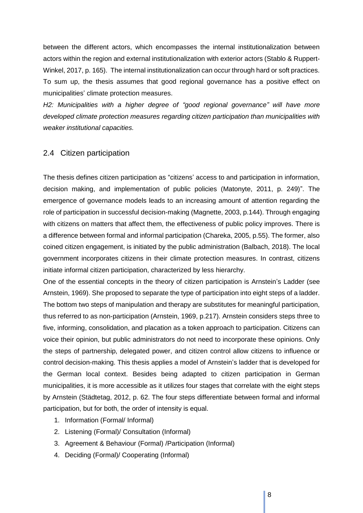between the different actors, which encompasses the internal institutionalization between actors within the region and external institutionalization with exterior actors (Stablo & Ruppert-Winkel, 2017, p. 165). The internal institutionalization can occur through hard or soft practices. To sum up, the thesis assumes that good regional governance has a positive effect on municipalities' climate protection measures.

*H2: Municipalities with a higher degree of "good regional governance" will have more developed climate protection measures regarding citizen participation than municipalities with weaker institutional capacities.*

#### <span id="page-7-0"></span>2.4 Citizen participation

The thesis defines citizen participation as "citizens' access to and participation in information, decision making, and implementation of public policies (Matonyte, 2011, p. 249)". The emergence of governance models leads to an increasing amount of attention regarding the role of participation in successful decision-making (Magnette, 2003, p.144). Through engaging with citizens on matters that affect them, the effectiveness of public policy improves. There is a difference between formal and informal participation (Chareka, 2005, p.55). The former, also coined citizen engagement, is initiated by the public administration (Balbach, 2018). The local government incorporates citizens in their climate protection measures. In contrast, citizens initiate informal citizen participation, characterized by less hierarchy.

One of the essential concepts in the theory of citizen participation is Arnstein's Ladder (see Arnstein, 1969). She proposed to separate the type of participation into eight steps of a ladder. The bottom two steps of manipulation and therapy are substitutes for meaningful participation, thus referred to as non-participation (Arnstein, 1969, p.217). Arnstein considers steps three to five, informing, consolidation, and placation as a token approach to participation. Citizens can voice their opinion, but public administrators do not need to incorporate these opinions. Only the steps of partnership, delegated power, and citizen control allow citizens to influence or control decision-making. This thesis applies a model of Arnstein's ladder that is developed for the German local context. Besides being adapted to citizen participation in German municipalities, it is more accessible as it utilizes four stages that correlate with the eight steps by Arnstein (Städtetag, 2012, p. 62. The four steps differentiate between formal and informal participation, but for both, the order of intensity is equal.

- 1. Information (Formal/ Informal)
- 2. Listening (Formal)/ Consultation (Informal)
- 3. Agreement & Behaviour (Formal) /Participation (Informal)
- 4. Deciding (Formal)/ Cooperating (Informal)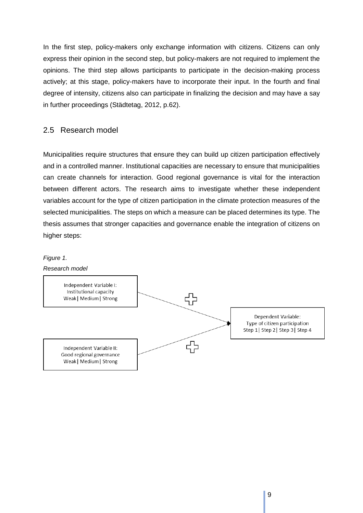In the first step, policy-makers only exchange information with citizens. Citizens can only express their opinion in the second step, but policy-makers are not required to implement the opinions. The third step allows participants to participate in the decision-making process actively; at this stage, policy-makers have to incorporate their input. In the fourth and final degree of intensity, citizens also can participate in finalizing the decision and may have a say in further proceedings (Städtetag, 2012, p.62).

#### <span id="page-8-0"></span>2.5 Research model

Municipalities require structures that ensure they can build up citizen participation effectively and in a controlled manner. Institutional capacities are necessary to ensure that municipalities can create channels for interaction. Good regional governance is vital for the interaction between different actors. The research aims to investigate whether these independent variables account for the type of citizen participation in the climate protection measures of the selected municipalities. The steps on which a measure can be placed determines its type. The thesis assumes that stronger capacities and governance enable the integration of citizens on higher steps:

#### *Figure 1.*

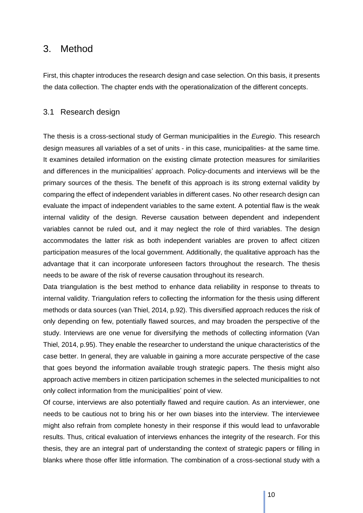## <span id="page-9-0"></span>3. Method

First, this chapter introduces the research design and case selection. On this basis, it presents the data collection. The chapter ends with the operationalization of the different concepts.

#### <span id="page-9-1"></span>3.1 Research design

The thesis is a cross-sectional study of German municipalities in the *Euregio*. This research design measures all variables of a set of units - in this case, municipalities- at the same time. It examines detailed information on the existing climate protection measures for similarities and differences in the municipalities' approach. Policy-documents and interviews will be the primary sources of the thesis. The benefit of this approach is its strong external validity by comparing the effect of independent variables in different cases. No other research design can evaluate the impact of independent variables to the same extent. A potential flaw is the weak internal validity of the design. Reverse causation between dependent and independent variables cannot be ruled out, and it may neglect the role of third variables. The design accommodates the latter risk as both independent variables are proven to affect citizen participation measures of the local government. Additionally, the qualitative approach has the advantage that it can incorporate unforeseen factors throughout the research. The thesis needs to be aware of the risk of reverse causation throughout its research.

Data triangulation is the best method to enhance data reliability in response to threats to internal validity. Triangulation refers to collecting the information for the thesis using different methods or data sources (van Thiel, 2014, p.92). This diversified approach reduces the risk of only depending on few, potentially flawed sources, and may broaden the perspective of the study. Interviews are one venue for diversifying the methods of collecting information (Van Thiel, 2014, p.95). They enable the researcher to understand the unique characteristics of the case better. In general, they are valuable in gaining a more accurate perspective of the case that goes beyond the information available trough strategic papers. The thesis might also approach active members in citizen participation schemes in the selected municipalities to not only collect information from the municipalities' point of view.

Of course, interviews are also potentially flawed and require caution. As an interviewer, one needs to be cautious not to bring his or her own biases into the interview. The interviewee might also refrain from complete honesty in their response if this would lead to unfavorable results. Thus, critical evaluation of interviews enhances the integrity of the research. For this thesis, they are an integral part of understanding the context of strategic papers or filling in blanks where those offer little information. The combination of a cross-sectional study with a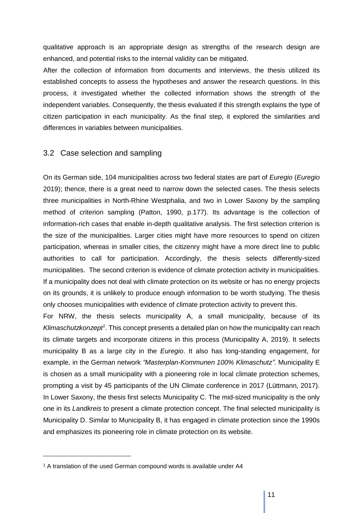qualitative approach is an appropriate design as strengths of the research design are enhanced, and potential risks to the internal validity can be mitigated.

After the collection of information from documents and interviews, the thesis utilized its established concepts to assess the hypotheses and answer the research questions. In this process, it investigated whether the collected information shows the strength of the independent variables. Consequently, the thesis evaluated if this strength explains the type of citizen participation in each municipality. As the final step, it explored the similarities and differences in variables between municipalities.

#### <span id="page-10-0"></span>3.2 Case selection and sampling

On its German side, 104 municipalities across two federal states are part of *Euregio* (*Euregio* 2019); thence, there is a great need to narrow down the selected cases. The thesis selects three municipalities in North-Rhine Westphalia, and two in Lower Saxony by the sampling method of criterion sampling (Patton, 1990, p.177). Its advantage is the collection of information-rich cases that enable in-depth qualitative analysis. The first selection criterion is the size of the municipalities. Larger cities might have more resources to spend on citizen participation, whereas in smaller cities, the citizenry might have a more direct line to public authorities to call for participation. Accordingly, the thesis selects differently-sized municipalities. The second criterion is evidence of climate protection activity in municipalities. If a municipality does not deal with climate protection on its website or has no energy projects on its grounds, it is unlikely to produce enough information to be worth studying. The thesis only chooses municipalities with evidence of climate protection activity to prevent this.

For NRW, the thesis selects municipality A, a small municipality, because of its Klimaschutzkonzept<sup>1</sup>. This concept presents a detailed plan on how the municipality can reach its climate targets and incorporate citizens in this process (Municipality A, 2019). It selects municipality B as a large city in the *Euregio*. It also has long-standing engagement, for example, in the German network *"Masterplan-Kommunen 100% Klimaschutz"*. Municipality E is chosen as a small municipality with a pioneering role in local climate protection schemes, prompting a visit by 45 participants of the UN Climate conference in 2017 (Lüttmann, 2017). In Lower Saxony, the thesis first selects Municipality C. The mid-sized municipality is the only one in its *Landkreis* to present a climate protection concept. The final selected municipality is Municipality D. Similar to Municipality B, it has engaged in climate protection since the 1990s and emphasizes its pioneering role in climate protection on its website.

<sup>&</sup>lt;sup>1</sup> A translation of the used German compound words is available under A4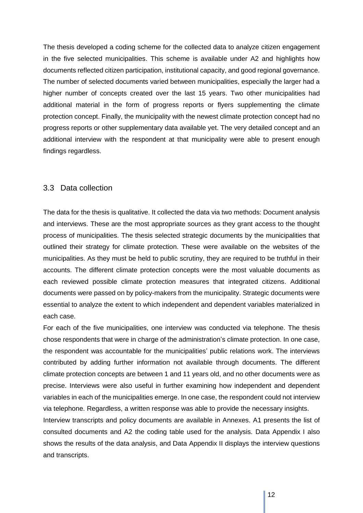The thesis developed a coding scheme for the collected data to analyze citizen engagement in the five selected municipalities. This scheme is available under A2 and highlights how documents reflected citizen participation, institutional capacity, and good regional governance. The number of selected documents varied between municipalities, especially the larger had a higher number of concepts created over the last 15 years. Two other municipalities had additional material in the form of progress reports or flyers supplementing the climate protection concept. Finally, the municipality with the newest climate protection concept had no progress reports or other supplementary data available yet. The very detailed concept and an additional interview with the respondent at that municipality were able to present enough findings regardless.

#### <span id="page-11-0"></span>3.3 Data collection

The data for the thesis is qualitative. It collected the data via two methods: Document analysis and interviews. These are the most appropriate sources as they grant access to the thought process of municipalities. The thesis selected strategic documents by the municipalities that outlined their strategy for climate protection. These were available on the websites of the municipalities. As they must be held to public scrutiny, they are required to be truthful in their accounts. The different climate protection concepts were the most valuable documents as each reviewed possible climate protection measures that integrated citizens. Additional documents were passed on by policy-makers from the municipality. Strategic documents were essential to analyze the extent to which independent and dependent variables materialized in each case.

For each of the five municipalities, one interview was conducted via telephone. The thesis chose respondents that were in charge of the administration's climate protection. In one case, the respondent was accountable for the municipalities' public relations work. The interviews contributed by adding further information not available through documents. The different climate protection concepts are between 1 and 11 years old, and no other documents were as precise. Interviews were also useful in further examining how independent and dependent variables in each of the municipalities emerge. In one case, the respondent could not interview via telephone. Regardless, a written response was able to provide the necessary insights.

Interview transcripts and policy documents are available in Annexes. A1 presents the list of consulted documents and A2 the coding table used for the analysis. Data Appendix I also shows the results of the data analysis, and Data Appendix II displays the interview questions and transcripts.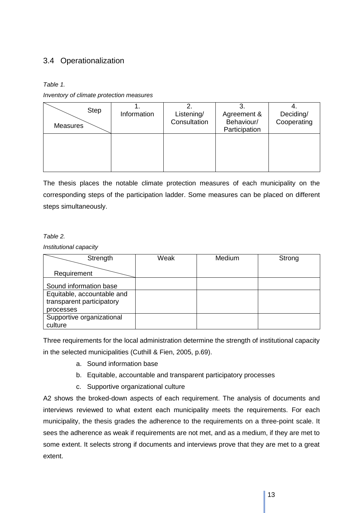## <span id="page-12-0"></span>3.4 Operationalization

*Table 1.*

*Inventory of climate protection measures*

| <b>Step</b><br>Measures | Information | Listening/<br>Consultation | J.<br>Agreement &<br>Behaviour/<br>Participation | Deciding/<br>Cooperating |
|-------------------------|-------------|----------------------------|--------------------------------------------------|--------------------------|
|                         |             |                            |                                                  |                          |

The thesis places the notable climate protection measures of each municipality on the corresponding steps of the participation ladder. Some measures can be placed on different steps simultaneously.

#### *Table 2.*

*Institutional capacity*

| Strength                   | Weak | Medium | Strong |
|----------------------------|------|--------|--------|
|                            |      |        |        |
| Requirement                |      |        |        |
| Sound information base     |      |        |        |
| Equitable, accountable and |      |        |        |
| transparent participatory  |      |        |        |
| processes                  |      |        |        |
| Supportive organizational  |      |        |        |
| culture                    |      |        |        |

Three requirements for the local administration determine the strength of institutional capacity in the selected municipalities (Cuthill & Fien, 2005, p.69).

- a. Sound information base
- b. Equitable, accountable and transparent participatory processes
- c. Supportive organizational culture

A2 shows the broked-down aspects of each requirement. The analysis of documents and interviews reviewed to what extent each municipality meets the requirements. For each municipality, the thesis grades the adherence to the requirements on a three-point scale. It sees the adherence as weak if requirements are not met, and as a medium, if they are met to some extent. It selects strong if documents and interviews prove that they are met to a great extent.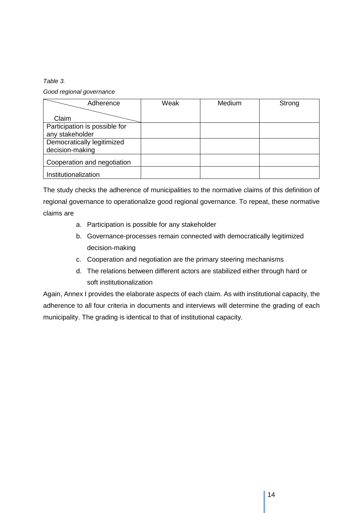*Table 3.*

*Good regional governance*

| Adherence                     | Weak | Medium | Strong |
|-------------------------------|------|--------|--------|
|                               |      |        |        |
| Claim                         |      |        |        |
| Participation is possible for |      |        |        |
| any stakeholder               |      |        |        |
| Democratically legitimized    |      |        |        |
| decision-making               |      |        |        |
| Cooperation and negotiation   |      |        |        |
| Institutionalization          |      |        |        |

The study checks the adherence of municipalities to the normative claims of this definition of regional governance to operationalize good regional governance. To repeat, these normative claims are

- a. Participation is possible for any stakeholder
- b. Governance-processes remain connected with democratically legitimized decision-making
- c. Cooperation and negotiation are the primary steering mechanisms
- d. The relations between different actors are stabilized either through hard or soft institutionalization

Again, Annex I provides the elaborate aspects of each claim. As with institutional capacity, the adherence to all four criteria in documents and interviews will determine the grading of each municipality. The grading is identical to that of institutional capacity.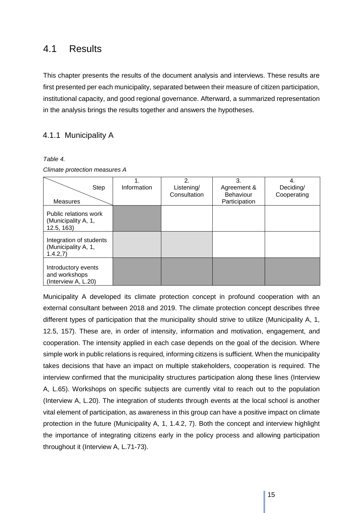## <span id="page-14-0"></span>4.1 Results

This chapter presents the results of the document analysis and interviews. These results are first presented per each municipality, separated between their measure of citizen participation, institutional capacity, and good regional governance. Afterward, a summarized representation in the analysis brings the results together and answers the hypotheses.

#### <span id="page-14-1"></span>4.1.1 Municipality A

#### *Table 4.*

*Climate protection measures A*

| Step                                                        | Information | $\mathbf{2}$<br>Listening/ | 3.<br>Agreement & | Deciding/   |
|-------------------------------------------------------------|-------------|----------------------------|-------------------|-------------|
|                                                             |             | Consultation               | <b>Behaviour</b>  | Cooperating |
| <b>Measures</b>                                             |             |                            | Participation     |             |
| Public relations work<br>(Municipality A, 1,<br>12.5, 163   |             |                            |                   |             |
| Integration of students<br>(Municipality A, 1,<br>1.4.2,7   |             |                            |                   |             |
| Introductory events<br>and workshops<br>(Interview A, L.20) |             |                            |                   |             |

Municipality A developed its climate protection concept in profound cooperation with an external consultant between 2018 and 2019. The climate protection concept describes three different types of participation that the municipality should strive to utilize (Municipality A, 1, 12.5, 157). These are, in order of intensity, information and motivation, engagement, and cooperation. The intensity applied in each case depends on the goal of the decision. Where simple work in public relations is required, informing citizens is sufficient. When the municipality takes decisions that have an impact on multiple stakeholders, cooperation is required. The interview confirmed that the municipality structures participation along these lines (Interview A, L.65). Workshops on specific subjects are currently vital to reach out to the population (Interview A, L.20). The integration of students through events at the local school is another vital element of participation, as awareness in this group can have a positive impact on climate protection in the future (Municipality A, 1, 1.4.2, 7). Both the concept and interview highlight the importance of integrating citizens early in the policy process and allowing participation throughout it (Interview A, L.71-73).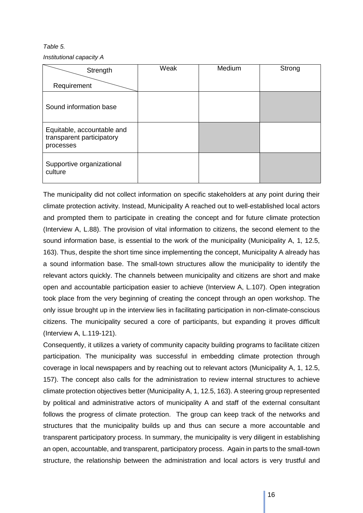*Table 5. Institutional capacity A*

| Strength                                                             | Weak | Medium | Strong |
|----------------------------------------------------------------------|------|--------|--------|
| Requirement                                                          |      |        |        |
| Sound information base                                               |      |        |        |
| Equitable, accountable and<br>transparent participatory<br>processes |      |        |        |
| Supportive organizational<br>culture                                 |      |        |        |

The municipality did not collect information on specific stakeholders at any point during their climate protection activity. Instead, Municipality A reached out to well-established local actors and prompted them to participate in creating the concept and for future climate protection (Interview A, L.88). The provision of vital information to citizens, the second element to the sound information base, is essential to the work of the municipality (Municipality A, 1, 12.5, 163). Thus, despite the short time since implementing the concept, Municipality A already has a sound information base. The small-town structures allow the municipality to identify the relevant actors quickly. The channels between municipality and citizens are short and make open and accountable participation easier to achieve (Interview A, L.107). Open integration took place from the very beginning of creating the concept through an open workshop. The only issue brought up in the interview lies in facilitating participation in non-climate-conscious citizens. The municipality secured a core of participants, but expanding it proves difficult (Interview A, L.119-121).

Consequently, it utilizes a variety of community capacity building programs to facilitate citizen participation. The municipality was successful in embedding climate protection through coverage in local newspapers and by reaching out to relevant actors (Municipality A, 1, 12.5, 157). The concept also calls for the administration to review internal structures to achieve climate protection objectives better (Municipality A, 1, 12.5, 163). A steering group represented by political and administrative actors of municipality A and staff of the external consultant follows the progress of climate protection. The group can keep track of the networks and structures that the municipality builds up and thus can secure a more accountable and transparent participatory process. In summary, the municipality is very diligent in establishing an open, accountable, and transparent, participatory process. Again in parts to the small-town structure, the relationship between the administration and local actors is very trustful and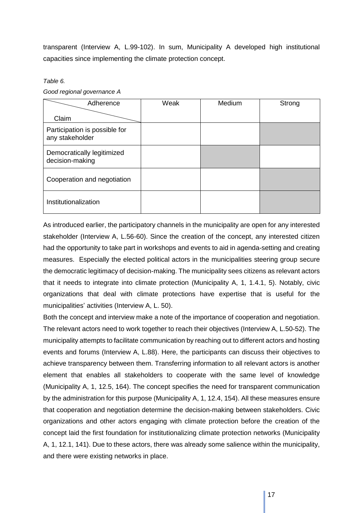transparent (Interview A, L.99-102). In sum, Municipality A developed high institutional capacities since implementing the climate protection concept.

#### *Table 6.*

| Good regional governance A |  |  |
|----------------------------|--|--|
|----------------------------|--|--|

| Adherence                                        | Weak | Medium | Strong |
|--------------------------------------------------|------|--------|--------|
| Claim                                            |      |        |        |
| Participation is possible for<br>any stakeholder |      |        |        |
| Democratically legitimized<br>decision-making    |      |        |        |
| Cooperation and negotiation                      |      |        |        |
| Institutionalization                             |      |        |        |

As introduced earlier, the participatory channels in the municipality are open for any interested stakeholder (Interview A, L.56-60). Since the creation of the concept, any interested citizen had the opportunity to take part in workshops and events to aid in agenda-setting and creating measures. Especially the elected political actors in the municipalities steering group secure the democratic legitimacy of decision-making. The municipality sees citizens as relevant actors that it needs to integrate into climate protection (Municipality A, 1, 1.4.1, 5). Notably, civic organizations that deal with climate protections have expertise that is useful for the municipalities' activities (Interview A, L. 50).

Both the concept and interview make a note of the importance of cooperation and negotiation. The relevant actors need to work together to reach their objectives (Interview A, L.50-52). The municipality attempts to facilitate communication by reaching out to different actors and hosting events and forums (Interview A, L.88). Here, the participants can discuss their objectives to achieve transparency between them. Transferring information to all relevant actors is another element that enables all stakeholders to cooperate with the same level of knowledge (Municipality A, 1, 12.5, 164). The concept specifies the need for transparent communication by the administration for this purpose (Municipality A, 1, 12.4, 154). All these measures ensure that cooperation and negotiation determine the decision-making between stakeholders. Civic organizations and other actors engaging with climate protection before the creation of the concept laid the first foundation for institutionalizing climate protection networks (Municipality A, 1, 12.1, 141). Due to these actors, there was already some salience within the municipality, and there were existing networks in place.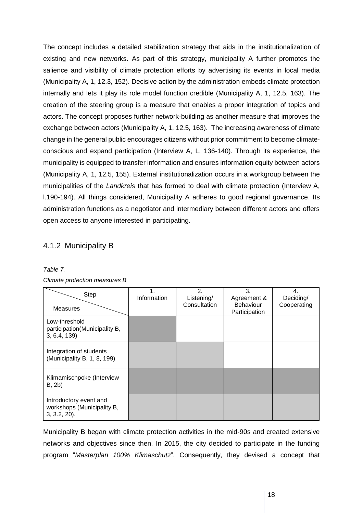The concept includes a detailed stabilization strategy that aids in the institutionalization of existing and new networks. As part of this strategy, municipality A further promotes the salience and visibility of climate protection efforts by advertising its events in local media (Municipality A, 1, 12.3, 152). Decisive action by the administration embeds climate protection internally and lets it play its role model function credible (Municipality A, 1, 12.5, 163). The creation of the steering group is a measure that enables a proper integration of topics and actors. The concept proposes further network-building as another measure that improves the exchange between actors (Municipality A, 1, 12.5, 163). The increasing awareness of climate change in the general public encourages citizens without prior commitment to become climateconscious and expand participation (Interview A, L. 136-140). Through its experience, the municipality is equipped to transfer information and ensures information equity between actors (Municipality A, 1, 12.5, 155). External institutionalization occurs in a workgroup between the municipalities of the *Landkreis* that has formed to deal with climate protection (Interview A, l.190-194). All things considered, Municipality A adheres to good regional governance. Its administration functions as a negotiator and intermediary between different actors and offers open access to anyone interested in participating.

## <span id="page-17-0"></span>4.1.2 Municipality B

| Step<br><b>Measures</b>                                                 | Information | 2.<br>Listening/<br>Consultation | 3.<br>Agreement &<br><b>Behaviour</b><br>Participation | 4.<br>Deciding/<br>Cooperating |
|-------------------------------------------------------------------------|-------------|----------------------------------|--------------------------------------------------------|--------------------------------|
| Low-threshold<br>participation(Municipality B,<br>3, 6.4, 139           |             |                                  |                                                        |                                |
| Integration of students<br>(Municipality B, 1, 8, 199)                  |             |                                  |                                                        |                                |
| Klimamischpoke (Interview<br>B, 2b)                                     |             |                                  |                                                        |                                |
| Introductory event and<br>workshops (Municipality B,<br>$3, 3.2, 20$ ). |             |                                  |                                                        |                                |

#### *Table 7. Climate protection measures B*

Municipality B began with climate protection activities in the mid-90s and created extensive networks and objectives since then. In 2015, the city decided to participate in the funding program "*Masterplan 100% Klimaschutz*". Consequently, they devised a concept that

18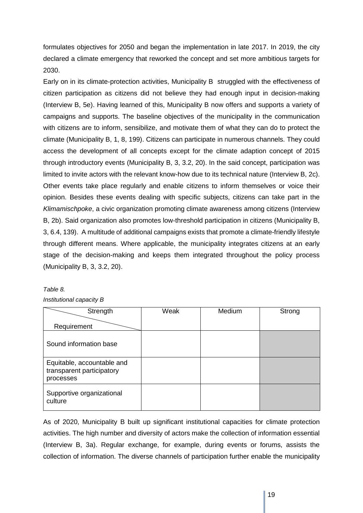formulates objectives for 2050 and began the implementation in late 2017. In 2019, the city declared a climate emergency that reworked the concept and set more ambitious targets for 2030.

Early on in its climate-protection activities, Municipality B struggled with the effectiveness of citizen participation as citizens did not believe they had enough input in decision-making (Interview B, 5e). Having learned of this, Municipality B now offers and supports a variety of campaigns and supports. The baseline objectives of the municipality in the communication with citizens are to inform, sensibilize, and motivate them of what they can do to protect the climate (Municipality B, 1, 8, 199). Citizens can participate in numerous channels. They could access the development of all concepts except for the climate adaption concept of 2015 through introductory events (Municipality B, 3, 3.2, 20). In the said concept, participation was limited to invite actors with the relevant know-how due to its technical nature (Interview B, 2c). Other events take place regularly and enable citizens to inform themselves or voice their opinion. Besides these events dealing with specific subjects, citizens can take part in the *Klimamischpoke*, a civic organization promoting climate awareness among citizens (Interview B, 2b). Said organization also promotes low-threshold participation in citizens (Municipality B, 3, 6.4, 139). A multitude of additional campaigns exists that promote a climate-friendly lifestyle through different means. Where applicable, the municipality integrates citizens at an early stage of the decision-making and keeps them integrated throughout the policy process (Municipality B, 3, 3.2, 20).

#### *Table 8.*

#### *Institutional capacity B*

| Strength                                                             | Weak | Medium | Strong |
|----------------------------------------------------------------------|------|--------|--------|
| Requirement                                                          |      |        |        |
| Sound information base                                               |      |        |        |
| Equitable, accountable and<br>transparent participatory<br>processes |      |        |        |
| Supportive organizational<br>culture                                 |      |        |        |

As of 2020, Municipality B built up significant institutional capacities for climate protection activities. The high number and diversity of actors make the collection of information essential (Interview B, 3a). Regular exchange, for example, during events or forums, assists the collection of information. The diverse channels of participation further enable the municipality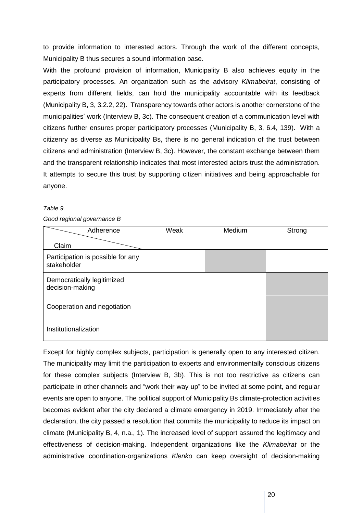to provide information to interested actors. Through the work of the different concepts, Municipality B thus secures a sound information base.

With the profound provision of information, Municipality B also achieves equity in the participatory processes. An organization such as the advisory *Klimabeirat*, consisting of experts from different fields, can hold the municipality accountable with its feedback (Municipality B, 3, 3.2.2, 22). Transparency towards other actors is another cornerstone of the municipalities' work (Interview B, 3c). The consequent creation of a communication level with citizens further ensures proper participatory processes (Municipality B, 3, 6.4, 139). With a citizenry as diverse as Municipality Bs, there is no general indication of the trust between citizens and administration (Interview B, 3c). However, the constant exchange between them and the transparent relationship indicates that most interested actors trust the administration. It attempts to secure this trust by supporting citizen initiatives and being approachable for anyone.

#### *Table 9.*

#### *Good regional governance B*

| Adherence                                        | Weak | Medium | Strong |
|--------------------------------------------------|------|--------|--------|
| Claim                                            |      |        |        |
| Participation is possible for any<br>stakeholder |      |        |        |
| Democratically legitimized<br>decision-making    |      |        |        |
| Cooperation and negotiation                      |      |        |        |
| Institutionalization                             |      |        |        |

Except for highly complex subjects, participation is generally open to any interested citizen. The municipality may limit the participation to experts and environmentally conscious citizens for these complex subjects (Interview B, 3b). This is not too restrictive as citizens can participate in other channels and "work their way up" to be invited at some point, and regular events are open to anyone. The political support of Municipality Bs climate-protection activities becomes evident after the city declared a climate emergency in 2019. Immediately after the declaration, the city passed a resolution that commits the municipality to reduce its impact on climate (Municipality B, 4, n.a., 1). The increased level of support assured the legitimacy and effectiveness of decision-making. Independent organizations like the *Klimabeirat* or the administrative coordination-organizations *Klenko* can keep oversight of decision-making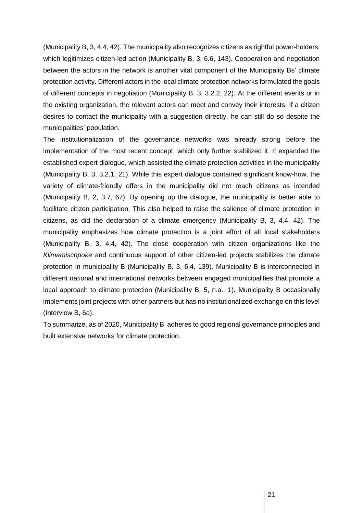(Municipality B, 3, 4.4, 42). The municipality also recognizes citizens as rightful power-holders, which legitimizes citizen-led action (Municipality B, 3, 6.6, 143). Cooperation and negotiation between the actors in the network is another vital component of the Municipality Bs' climate protection activity. Different actors in the local climate protection networks formulated the goals of different concepts in negotiation (Municipality B, 3, 3.2.2, 22). At the different events or in the existing organization, the relevant actors can meet and convey their interests. If a citizen desires to contact the municipality with a suggestion directly, he can still do so despite the municipalities' population.

The institutionalization of the governance networks was already strong before the implementation of the most recent concept, which only further stabilized it. It expanded the established expert dialogue, which assisted the climate protection activities in the municipality (Municipality B, 3, 3.2.1, 21). While this expert dialogue contained significant know-how, the variety of climate-friendly offers in the municipality did not reach citizens as intended (Municipality B, 2, 3.7, 67). By opening up the dialogue, the municipality is better able to facilitate citizen participation. This also helped to raise the salience of climate protection in citizens, as did the declaration of a climate emergency (Municipality B, 3, 4.4, 42). The municipality emphasizes how climate protection is a joint effort of all local stakeholders (Municipality B, 3, 4.4, 42). The close cooperation with citizen organizations like the *Klimamischpoke* and continuous support of other citizen-led projects stabilizes the climate protection in municipality B (Municipality B, 3, 6.4, 139). Municipality B is interconnected in different national and international networks between engaged municipalities that promote a local approach to climate protection (Municipality B, 5, n.a., 1). Municipality B occasionally implements joint projects with other partners but has no institutionalized exchange on this level (Interview B, 6a).

To summarize, as of 2020, Municipality B adheres to good regional governance principles and built extensive networks for climate protection.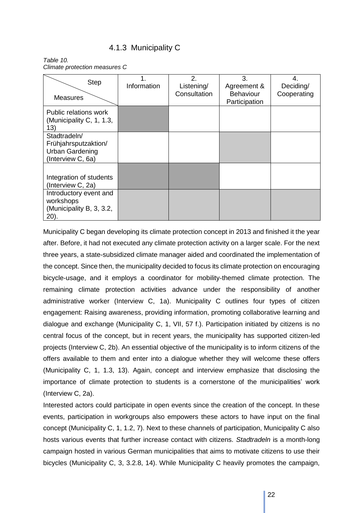## 4.1.3 Municipality C

<span id="page-21-0"></span>*Table 10. Climate protection measures C*

| <b>Step</b><br><b>Measures</b>                                                      | Information | 2.<br>Listening/<br>Consultation | 3.<br>Agreement &<br><b>Behaviour</b><br>Participation | 4.<br>Deciding/<br>Cooperating |
|-------------------------------------------------------------------------------------|-------------|----------------------------------|--------------------------------------------------------|--------------------------------|
| Public relations work<br>(Municipality C, 1, 1.3,<br>13)                            |             |                                  |                                                        |                                |
| Stadtradeln/<br>Frühjahrsputzaktion/<br><b>Urban Gardening</b><br>(Interview C, 6a) |             |                                  |                                                        |                                |
| Integration of students<br>(Interview C, 2a)                                        |             |                                  |                                                        |                                |
| Introductory event and<br>workshops<br>(Municipality B, 3, 3.2,<br>$20$ ).          |             |                                  |                                                        |                                |

Municipality C began developing its climate protection concept in 2013 and finished it the year after. Before, it had not executed any climate protection activity on a larger scale. For the next three years, a state-subsidized climate manager aided and coordinated the implementation of the concept. Since then, the municipality decided to focus its climate protection on encouraging bicycle-usage, and it employs a coordinator for mobility-themed climate protection. The remaining climate protection activities advance under the responsibility of another administrative worker (Interview C, 1a). Municipality C outlines four types of citizen engagement: Raising awareness, providing information, promoting collaborative learning and dialogue and exchange (Municipality C, 1, VII, 57 f.). Participation initiated by citizens is no central focus of the concept, but in recent years, the municipality has supported citizen-led projects (Interview C, 2b). An essential objective of the municipality is to inform citizens of the offers available to them and enter into a dialogue whether they will welcome these offers (Municipality C, 1, 1.3, 13). Again, concept and interview emphasize that disclosing the importance of climate protection to students is a cornerstone of the municipalities' work (Interview C, 2a).

Interested actors could participate in open events since the creation of the concept. In these events, participation in workgroups also empowers these actors to have input on the final concept (Municipality C, 1, 1.2, 7). Next to these channels of participation, Municipality C also hosts various events that further increase contact with citizens. *Stadtradeln* is a month-long campaign hosted in various German municipalities that aims to motivate citizens to use their bicycles (Municipality C, 3, 3.2.8, 14). While Municipality C heavily promotes the campaign,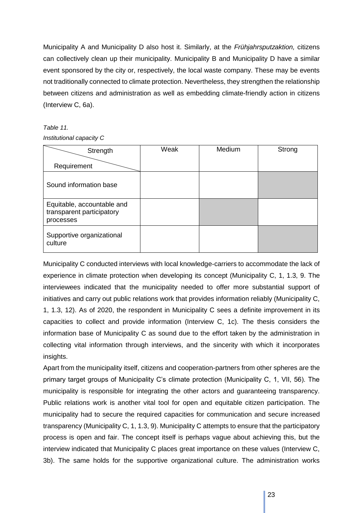Municipality A and Municipality D also host it. Similarly, at the *Frühjahrsputzaktion,* citizens can collectively clean up their municipality. Municipality B and Municipality D have a similar event sponsored by the city or, respectively, the local waste company. These may be events not traditionally connected to climate protection. Nevertheless, they strengthen the relationship between citizens and administration as well as embedding climate-friendly action in citizens (Interview C, 6a).

#### *Table 11.*

#### *Institutional capacity C*

| Strength                                                             | Weak | Medium | Strong |
|----------------------------------------------------------------------|------|--------|--------|
| Requirement                                                          |      |        |        |
| Sound information base                                               |      |        |        |
| Equitable, accountable and<br>transparent participatory<br>processes |      |        |        |
| Supportive organizational<br>culture                                 |      |        |        |

Municipality C conducted interviews with local knowledge-carriers to accommodate the lack of experience in climate protection when developing its concept (Municipality C, 1, 1.3, 9. The interviewees indicated that the municipality needed to offer more substantial support of initiatives and carry out public relations work that provides information reliably (Municipality C, 1, 1.3, 12). As of 2020, the respondent in Municipality C sees a definite improvement in its capacities to collect and provide information (Interview C, 1c). The thesis considers the information base of Municipality C as sound due to the effort taken by the administration in collecting vital information through interviews, and the sincerity with which it incorporates insights.

Apart from the municipality itself, citizens and cooperation-partners from other spheres are the primary target groups of Municipality C's climate protection (Municipality C, 1, VII, 56). The municipality is responsible for integrating the other actors and guaranteeing transparency. Public relations work is another vital tool for open and equitable citizen participation. The municipality had to secure the required capacities for communication and secure increased transparency (Municipality C, 1, 1.3, 9). Municipality C attempts to ensure that the participatory process is open and fair. The concept itself is perhaps vague about achieving this, but the interview indicated that Municipality C places great importance on these values (Interview C, 3b). The same holds for the supportive organizational culture. The administration works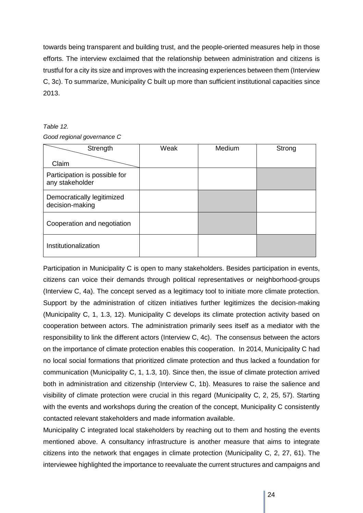towards being transparent and building trust, and the people-oriented measures help in those efforts. The interview exclaimed that the relationship between administration and citizens is trustful for a city its size and improves with the increasing experiences between them (Interview C, 3c). To summarize, Municipality C built up more than sufficient institutional capacities since 2013.

#### *Table 12.*

*Good regional governance C*

| Strength                                         | Weak | Medium | Strong |
|--------------------------------------------------|------|--------|--------|
| Claim                                            |      |        |        |
| Participation is possible for<br>any stakeholder |      |        |        |
| Democratically legitimized<br>decision-making    |      |        |        |
| Cooperation and negotiation                      |      |        |        |
| Institutionalization                             |      |        |        |

Participation in Municipality C is open to many stakeholders. Besides participation in events, citizens can voice their demands through political representatives or neighborhood-groups (Interview C, 4a). The concept served as a legitimacy tool to initiate more climate protection. Support by the administration of citizen initiatives further legitimizes the decision-making (Municipality C, 1, 1.3, 12). Municipality C develops its climate protection activity based on cooperation between actors. The administration primarily sees itself as a mediator with the responsibility to link the different actors (Interview C, 4c). The consensus between the actors on the importance of climate protection enables this cooperation. In 2014, Municipality C had no local social formations that prioritized climate protection and thus lacked a foundation for communication (Municipality C, 1, 1.3, 10). Since then, the issue of climate protection arrived both in administration and citizenship (Interview C, 1b). Measures to raise the salience and visibility of climate protection were crucial in this regard (Municipality C, 2, 25, 57). Starting with the events and workshops during the creation of the concept, Municipality C consistently contacted relevant stakeholders and made information available.

Municipality C integrated local stakeholders by reaching out to them and hosting the events mentioned above. A consultancy infrastructure is another measure that aims to integrate citizens into the network that engages in climate protection (Municipality C, 2, 27, 61). The interviewee highlighted the importance to reevaluate the current structures and campaigns and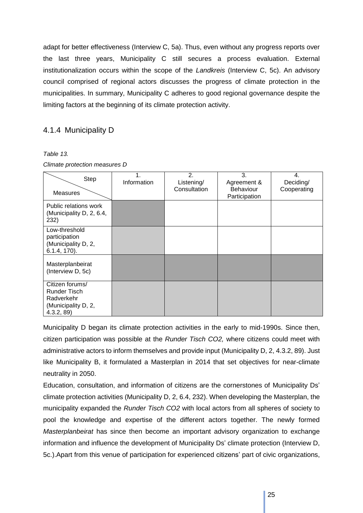adapt for better effectiveness (Interview C, 5a). Thus, even without any progress reports over the last three years, Municipality C still secures a process evaluation. External institutionalization occurs within the scope of the *Landkreis* (Interview C, 5c). An advisory council comprised of regional actors discusses the progress of climate protection in the municipalities. In summary, Municipality C adheres to good regional governance despite the limiting factors at the beginning of its climate protection activity.

## <span id="page-24-0"></span>4.1.4 Municipality D

#### *Table 13.*

|  |  | Climate protection measures D |  |
|--|--|-------------------------------|--|
|--|--|-------------------------------|--|

| Step<br><b>Measures</b>                                                                  | $\mathbf 1$ .<br>Information | $\overline{2}$ .<br>Listening/<br>Consultation | 3.<br>Agreement &<br><b>Behaviour</b><br>Participation | 4.<br>Deciding/<br>Cooperating |
|------------------------------------------------------------------------------------------|------------------------------|------------------------------------------------|--------------------------------------------------------|--------------------------------|
| Public relations work<br>(Municipality D, 2, 6.4,<br>232)                                |                              |                                                |                                                        |                                |
| Low-threshold<br>participation<br>(Municipality D, 2,<br>$6.1.4, 170$ ).                 |                              |                                                |                                                        |                                |
| Masterplanbeirat<br>(Interview D, 5c)                                                    |                              |                                                |                                                        |                                |
| Citizen forums/<br><b>Runder Tisch</b><br>Radverkehr<br>(Municipality D, 2,<br>4.3.2, 89 |                              |                                                |                                                        |                                |

Municipality D began its climate protection activities in the early to mid-1990s. Since then, citizen participation was possible at the *Runder Tisch CO2,* where citizens could meet with administrative actors to inform themselves and provide input (Municipality D, 2, 4.3.2, 89). Just like Municipality B, it formulated a Masterplan in 2014 that set objectives for near-climate neutrality in 2050.

Education, consultation, and information of citizens are the cornerstones of Municipality Ds' climate protection activities (Municipality D, 2, 6.4, 232). When developing the Masterplan, the municipality expanded the *Runder Tisch CO2* with local actors from all spheres of society to pool the knowledge and expertise of the different actors together. The newly formed *Masterplanbeirat* has since then become an important advisory organization to exchange information and influence the development of Municipality Ds' climate protection (Interview D, 5c.).Apart from this venue of participation for experienced citizens' part of civic organizations,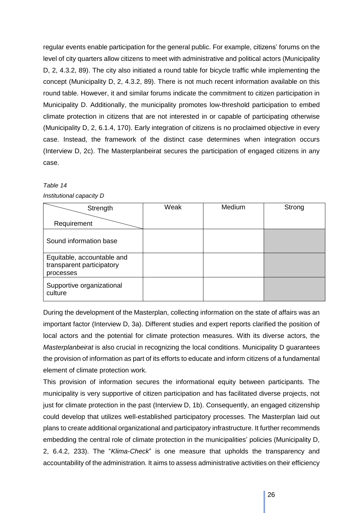regular events enable participation for the general public. For example, citizens' forums on the level of city quarters allow citizens to meet with administrative and political actors (Municipality D, 2, 4.3.2, 89). The city also initiated a round table for bicycle traffic while implementing the concept (Municipality D, 2, 4.3.2, 89). There is not much recent information available on this round table. However, it and similar forums indicate the commitment to citizen participation in Municipality D. Additionally, the municipality promotes low-threshold participation to embed climate protection in citizens that are not interested in or capable of participating otherwise (Municipality D, 2, 6.1.4, 170). Early integration of citizens is no proclaimed objective in every case. Instead, the framework of the distinct case determines when integration occurs (Interview D, 2c). The Masterplanbeirat secures the participation of engaged citizens in any case.

#### *Table 14*

*Institutional capacity D*

| Strength                                                             | Weak | Medium | Strong |
|----------------------------------------------------------------------|------|--------|--------|
| Requirement                                                          |      |        |        |
| Sound information base                                               |      |        |        |
| Equitable, accountable and<br>transparent participatory<br>processes |      |        |        |
| Supportive organizational<br>culture                                 |      |        |        |

During the development of the Masterplan, collecting information on the state of affairs was an important factor (Interview D, 3a). Different studies and expert reports clarified the position of local actors and the potential for climate protection measures. With its diverse actors, the *Masterplanbeirat* is also crucial in recognizing the local conditions. Municipality D guarantees the provision of information as part of its efforts to educate and inform citizens of a fundamental element of climate protection work.

This provision of information secures the informational equity between participants. The municipality is very supportive of citizen participation and has facilitated diverse projects, not just for climate protection in the past (Interview D, 1b). Consequently, an engaged citizenship could develop that utilizes well-established participatory processes. The Masterplan laid out plans to create additional organizational and participatory infrastructure. It further recommends embedding the central role of climate protection in the municipalities' policies (Municipality D, 2, 6.4.2, 233). The "*Klima-Check*" is one measure that upholds the transparency and accountability of the administration. It aims to assess administrative activities on their efficiency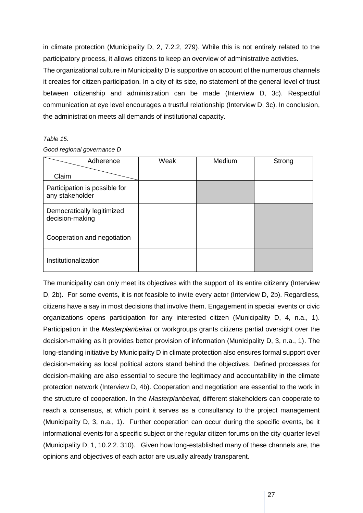in climate protection (Municipality D, 2, 7.2.2, 279). While this is not entirely related to the participatory process, it allows citizens to keep an overview of administrative activities.

The organizational culture in Municipality D is supportive on account of the numerous channels it creates for citizen participation. In a city of its size, no statement of the general level of trust between citizenship and administration can be made (Interview D, 3c). Respectful communication at eye level encourages a trustful relationship (Interview D, 3c). In conclusion, the administration meets all demands of institutional capacity.

#### *Table 15.*

|  | Good regional governance D |
|--|----------------------------|
|--|----------------------------|

| Adherence                                        | Weak | Medium | Strong |
|--------------------------------------------------|------|--------|--------|
| Claim                                            |      |        |        |
| Participation is possible for<br>any stakeholder |      |        |        |
| Democratically legitimized<br>decision-making    |      |        |        |
| Cooperation and negotiation                      |      |        |        |
| Institutionalization                             |      |        |        |

The municipality can only meet its objectives with the support of its entire citizenry (Interview D, 2b). For some events, it is not feasible to invite every actor (Interview D, 2b). Regardless, citizens have a say in most decisions that involve them. Engagement in special events or civic organizations opens participation for any interested citizen (Municipality D, 4, n.a., 1). Participation in the *Masterplanbeirat* or workgroups grants citizens partial oversight over the decision-making as it provides better provision of information (Municipality D, 3, n.a., 1). The long-standing initiative by Municipality D in climate protection also ensures formal support over decision-making as local political actors stand behind the objectives. Defined processes for decision-making are also essential to secure the legitimacy and accountability in the climate protection network (Interview D, 4b). Cooperation and negotiation are essential to the work in the structure of cooperation. In the *Masterplanbeirat*, different stakeholders can cooperate to reach a consensus, at which point it serves as a consultancy to the project management (Municipality D, 3, n.a., 1). Further cooperation can occur during the specific events, be it informational events for a specific subject or the regular citizen forums on the city-quarter level (Municipality D, 1, 10.2.2. 310). Given how long-established many of these channels are, the opinions and objectives of each actor are usually already transparent.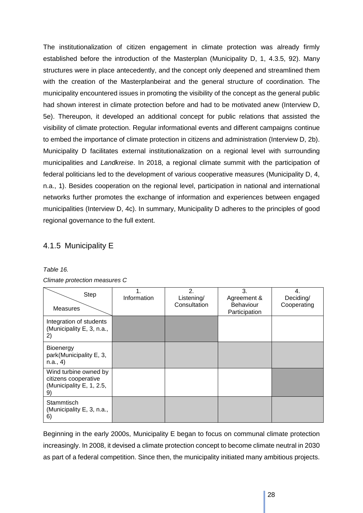The institutionalization of citizen engagement in climate protection was already firmly established before the introduction of the Masterplan (Municipality D, 1, 4.3.5, 92). Many structures were in place antecedently, and the concept only deepened and streamlined them with the creation of the Masterplanbeirat and the general structure of coordination. The municipality encountered issues in promoting the visibility of the concept as the general public had shown interest in climate protection before and had to be motivated anew (Interview D, 5e). Thereupon, it developed an additional concept for public relations that assisted the visibility of climate protection. Regular informational events and different campaigns continue to embed the importance of climate protection in citizens and administration (Interview D, 2b). Municipality D facilitates external institutionalization on a regional level with surrounding municipalities and *Landkreise*. In 2018, a regional climate summit with the participation of federal politicians led to the development of various cooperative measures (Municipality D, 4, n.a., 1). Besides cooperation on the regional level, participation in national and international networks further promotes the exchange of information and experiences between engaged municipalities (Interview D, 4c). In summary, Municipality D adheres to the principles of good regional governance to the full extent.

## <span id="page-27-0"></span>4.1.5 Municipality E

| Table 16. |  |
|-----------|--|
|-----------|--|

| Climate protection measures C |  |
|-------------------------------|--|
|-------------------------------|--|

| Step<br><b>Measures</b>                                                        | $\mathbf 1$<br>Information | 2.<br>Listening/<br>Consultation | 3.<br>Agreement &<br><b>Behaviour</b><br>Participation | 4.<br>Deciding/<br>Cooperating |
|--------------------------------------------------------------------------------|----------------------------|----------------------------------|--------------------------------------------------------|--------------------------------|
| Integration of students<br>(Municipality E, 3, n.a.,<br>2)                     |                            |                                  |                                                        |                                |
| <b>Bioenergy</b><br>park(Municipality E, 3,<br>n.a., 4)                        |                            |                                  |                                                        |                                |
| Wind turbine owned by<br>citizens cooperative<br>(Municipality E, 1, 2.5,<br>9 |                            |                                  |                                                        |                                |
| Stammtisch<br>(Municipality E, 3, n.a.,<br>6)                                  |                            |                                  |                                                        |                                |

Beginning in the early 2000s, Municipality E began to focus on communal climate protection increasingly. In 2008, it devised a climate protection concept to become climate neutral in 2030 as part of a federal competition. Since then, the municipality initiated many ambitious projects.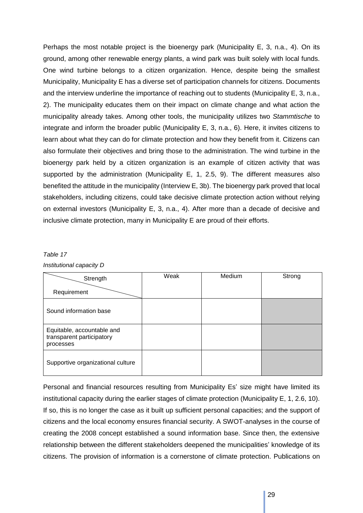Perhaps the most notable project is the bioenergy park (Municipality E, 3, n.a., 4). On its ground, among other renewable energy plants, a wind park was built solely with local funds. One wind turbine belongs to a citizen organization. Hence, despite being the smallest Municipality, Municipality E has a diverse set of participation channels for citizens. Documents and the interview underline the importance of reaching out to students (Municipality E, 3, n.a., 2). The municipality educates them on their impact on climate change and what action the municipality already takes. Among other tools, the municipality utilizes two *Stammtische* to integrate and inform the broader public (Municipality E, 3, n.a., 6). Here, it invites citizens to learn about what they can do for climate protection and how they benefit from it. Citizens can also formulate their objectives and bring those to the administration. The wind turbine in the bioenergy park held by a citizen organization is an example of citizen activity that was supported by the administration (Municipality E, 1, 2.5, 9). The different measures also benefited the attitude in the municipality (Interview E, 3b). The bioenergy park proved that local stakeholders, including citizens, could take decisive climate protection action without relying on external investors (Municipality E, 3, n.a., 4). After more than a decade of decisive and inclusive climate protection, many in Municipality E are proud of their efforts.

#### *Table 17*

| Strength                                                             | Weak | Medium | Strong |
|----------------------------------------------------------------------|------|--------|--------|
| Requirement                                                          |      |        |        |
| Sound information base                                               |      |        |        |
| Equitable, accountable and<br>transparent participatory<br>processes |      |        |        |
| Supportive organizational culture                                    |      |        |        |

Personal and financial resources resulting from Municipality Es' size might have limited its institutional capacity during the earlier stages of climate protection (Municipality E, 1, 2.6, 10). If so, this is no longer the case as it built up sufficient personal capacities; and the support of citizens and the local economy ensures financial security. A SWOT-analyses in the course of creating the 2008 concept established a sound information base. Since then, the extensive relationship between the different stakeholders deepened the municipalities' knowledge of its citizens. The provision of information is a cornerstone of climate protection. Publications on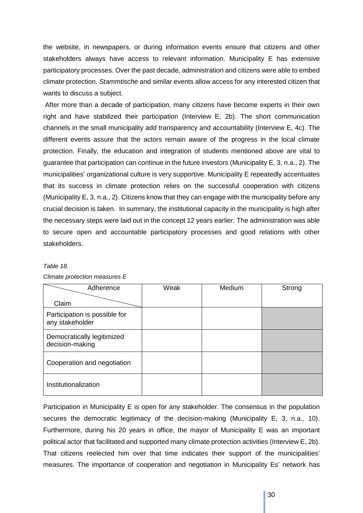the website, in newspapers, or during information events ensure that citizens and other stakeholders always have access to relevant information. Municipality E has extensive participatory processes. Over the past decade, administration and citizens were able to embed climate protection. *Stammtische* and similar events allow access for any interested citizen that wants to discuss a subject.

After more than a decade of participation, many citizens have become experts in their own right and have stabilized their participation (Interview E, 2b). The short communication channels in the small municipality add transparency and accountability (Interview E, 4c). The different events assure that the actors remain aware of the progress in the local climate protection. Finally, the education and integration of students mentioned above are vital to guarantee that participation can continue in the future investors (Municipality E, 3, n.a., 2). The municipalities' organizational culture is very supportive. Municipality E repeatedly accentuates that its success in climate protection relies on the successful cooperation with citizens (Municipality E, 3, n.a., 2). Citizens know that they can engage with the municipality before any crucial decision is taken. In summary, the institutional capacity in the municipality is high after the necessary steps were laid out in the concept 12 years earlier. The administration was able to secure open and accountable participatory processes and good relations with other stakeholders.

#### *Table 18.*

| Adherence                                        | Weak | Medium | Strong |
|--------------------------------------------------|------|--------|--------|
| Claim                                            |      |        |        |
| Participation is possible for<br>any stakeholder |      |        |        |
| Democratically legitimized<br>decision-making    |      |        |        |
| Cooperation and negotiation                      |      |        |        |
| Institutionalization                             |      |        |        |

*Climate protection measures E*

Participation in Municipality E is open for any stakeholder. The consensus in the population secures the democratic legitimacy of the decision-making (Municipality E, 3, n.a., 10). Furthermore, during his 20 years in office, the mayor of Municipality E was an important political actor that facilitated and supported many climate protection activities (Interview E, 2b). That citizens reelected him over that time indicates their support of the municipalities' measures. The importance of cooperation and negotiation in Municipality Es' network has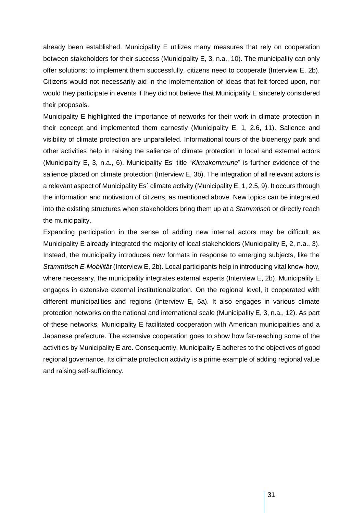already been established. Municipality E utilizes many measures that rely on cooperation between stakeholders for their success (Municipality E, 3, n.a., 10). The municipality can only offer solutions; to implement them successfully, citizens need to cooperate (Interview E, 2b). Citizens would not necessarily aid in the implementation of ideas that felt forced upon, nor would they participate in events if they did not believe that Municipality E sincerely considered their proposals.

Municipality E highlighted the importance of networks for their work in climate protection in their concept and implemented them earnestly (Municipality E, 1, 2.6, 11). Salience and visibility of climate protection are unparalleled. Informational tours of the bioenergy park and other activities help in raising the salience of climate protection in local and external actors (Municipality E, 3, n.a., 6). Municipality Es' title "*Klimakommune*" is further evidence of the salience placed on climate protection (Interview E, 3b). The integration of all relevant actors is a relevant aspect of Municipality Es` climate activity (Municipality E, 1, 2.5, 9). It occurs through the information and motivation of citizens, as mentioned above. New topics can be integrated into the existing structures when stakeholders bring them up at a *Stammtisch* or directly reach the municipality.

Expanding participation in the sense of adding new internal actors may be difficult as Municipality E already integrated the majority of local stakeholders (Municipality E, 2, n.a., 3). Instead, the municipality introduces new formats in response to emerging subjects, like the *Stammtisch E-Mobilität* (Interview E, 2b). Local participants help in introducing vital know-how, where necessary, the municipality integrates external experts (Interview E, 2b). Municipality E engages in extensive external institutionalization. On the regional level, it cooperated with different municipalities and regions (Interview E, 6a). It also engages in various climate protection networks on the national and international scale (Municipality E, 3, n.a., 12). As part of these networks, Municipality E facilitated cooperation with American municipalities and a Japanese prefecture. The extensive cooperation goes to show how far-reaching some of the activities by Municipality E are. Consequently, Municipality E adheres to the objectives of good regional governance. Its climate protection activity is a prime example of adding regional value and raising self-sufficiency.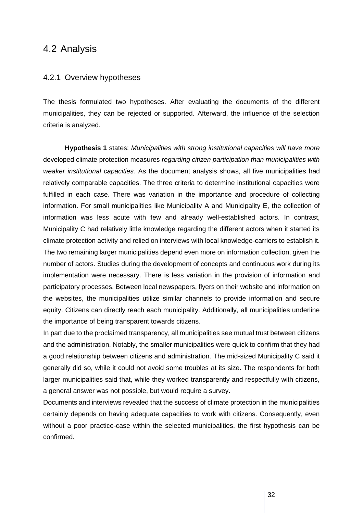## <span id="page-31-0"></span>4.2 Analysis

#### <span id="page-31-1"></span>4.2.1 Overview hypotheses

The thesis formulated two hypotheses. After evaluating the documents of the different municipalities, they can be rejected or supported. Afterward, the influence of the selection criteria is analyzed.

**Hypothesis 1** states: *Municipalities with strong institutional capacities will have more*  developed climate protection measures *regarding citizen participation than municipalities with weaker institutional capacities.* As the document analysis shows, all five municipalities had relatively comparable capacities. The three criteria to determine institutional capacities were fulfilled in each case. There was variation in the importance and procedure of collecting information. For small municipalities like Municipality A and Municipality E, the collection of information was less acute with few and already well-established actors. In contrast, Municipality C had relatively little knowledge regarding the different actors when it started its climate protection activity and relied on interviews with local knowledge-carriers to establish it. The two remaining larger municipalities depend even more on information collection, given the number of actors. Studies during the development of concepts and continuous work during its implementation were necessary. There is less variation in the provision of information and participatory processes. Between local newspapers, flyers on their website and information on the websites, the municipalities utilize similar channels to provide information and secure equity. Citizens can directly reach each municipality. Additionally, all municipalities underline the importance of being transparent towards citizens.

In part due to the proclaimed transparency, all municipalities see mutual trust between citizens and the administration. Notably, the smaller municipalities were quick to confirm that they had a good relationship between citizens and administration. The mid-sized Municipality C said it generally did so, while it could not avoid some troubles at its size. The respondents for both larger municipalities said that, while they worked transparently and respectfully with citizens, a general answer was not possible, but would require a survey.

Documents and interviews revealed that the success of climate protection in the municipalities certainly depends on having adequate capacities to work with citizens. Consequently, even without a poor practice-case within the selected municipalities, the first hypothesis can be confirmed.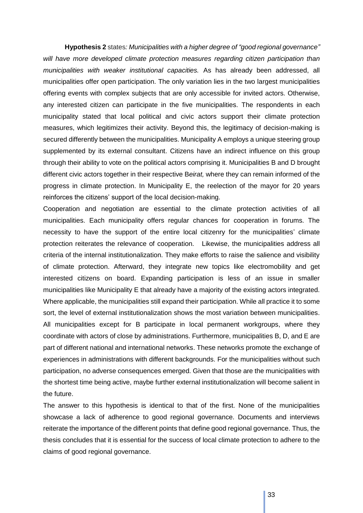**Hypothesis 2** states*: Municipalities with a higher degree of "good regional governance" will have more developed climate protection measures regarding citizen participation than municipalities with weaker institutional capacities.* As has already been addressed, all municipalities offer open participation. The only variation lies in the two largest municipalities offering events with complex subjects that are only accessible for invited actors. Otherwise, any interested citizen can participate in the five municipalities. The respondents in each municipality stated that local political and civic actors support their climate protection measures, which legitimizes their activity. Beyond this, the legitimacy of decision-making is secured differently between the municipalities. Municipality A employs a unique steering group supplemented by its external consultant. Citizens have an indirect influence on this group through their ability to vote on the political actors comprising it. Municipalities B and D brought different civic actors together in their respective B*eirat,* where they can remain informed of the progress in climate protection. In Municipality E, the reelection of the mayor for 20 years reinforces the citizens' support of the local decision-making.

Cooperation and negotiation are essential to the climate protection activities of all municipalities. Each municipality offers regular chances for cooperation in forums. The necessity to have the support of the entire local citizenry for the municipalities' climate protection reiterates the relevance of cooperation. Likewise, the municipalities address all criteria of the internal institutionalization. They make efforts to raise the salience and visibility of climate protection. Afterward, they integrate new topics like electromobility and get interested citizens on board. Expanding participation is less of an issue in smaller municipalities like Municipality E that already have a majority of the existing actors integrated. Where applicable, the municipalities still expand their participation. While all practice it to some sort, the level of external institutionalization shows the most variation between municipalities. All municipalities except for B participate in local permanent workgroups, where they coordinate with actors of close by administrations. Furthermore, municipalities B, D, and E are part of different national and international networks. These networks promote the exchange of experiences in administrations with different backgrounds. For the municipalities without such participation, no adverse consequences emerged. Given that those are the municipalities with the shortest time being active, maybe further external institutionalization will become salient in the future.

The answer to this hypothesis is identical to that of the first. None of the municipalities showcase a lack of adherence to good regional governance. Documents and interviews reiterate the importance of the different points that define good regional governance. Thus, the thesis concludes that it is essential for the success of local climate protection to adhere to the claims of good regional governance.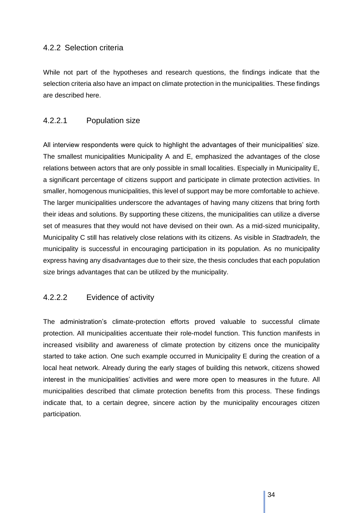#### <span id="page-33-0"></span>4.2.2 Selection criteria

While not part of the hypotheses and research questions, the findings indicate that the selection criteria also have an impact on climate protection in the municipalities. These findings are described here.

#### <span id="page-33-1"></span>4.2.2.1 Population size

All interview respondents were quick to highlight the advantages of their municipalities' size. The smallest municipalities Municipality A and E, emphasized the advantages of the close relations between actors that are only possible in small localities. Especially in Municipality E, a significant percentage of citizens support and participate in climate protection activities. In smaller, homogenous municipalities, this level of support may be more comfortable to achieve. The larger municipalities underscore the advantages of having many citizens that bring forth their ideas and solutions. By supporting these citizens, the municipalities can utilize a diverse set of measures that they would not have devised on their own. As a mid-sized municipality, Municipality C still has relatively close relations with its citizens. As visible in *Stadtradeln,* the municipality is successful in encouraging participation in its population. As no municipality express having any disadvantages due to their size, the thesis concludes that each population size brings advantages that can be utilized by the municipality.

#### <span id="page-33-2"></span>4.2.2.2 Evidence of activity

The administration's climate-protection efforts proved valuable to successful climate protection. All municipalities accentuate their role-model function. This function manifests in increased visibility and awareness of climate protection by citizens once the municipality started to take action. One such example occurred in Municipality E during the creation of a local heat network. Already during the early stages of building this network, citizens showed interest in the municipalities' activities and were more open to measures in the future. All municipalities described that climate protection benefits from this process. These findings indicate that, to a certain degree, sincere action by the municipality encourages citizen participation.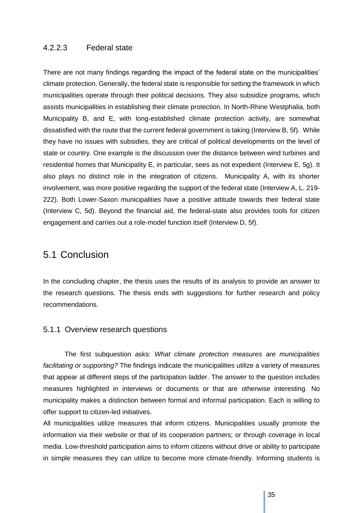#### <span id="page-34-0"></span>4.2.2.3 Federal state

There are not many findings regarding the impact of the federal state on the municipalities' climate protection. Generally, the federal state is responsible for setting the framework in which municipalities operate through their political decisions. They also subsidize programs, which assists municipalities in establishing their climate protection. In North-Rhine Westphalia, both Municipality B, and E, with long-established climate protection activity, are somewhat dissatisfied with the route that the current federal government is taking (Interview B, 5f). While they have no issues with subsidies, they are critical of political developments on the level of state or country. One example is the discussion over the distance between wind turbines and residential homes that Municipality E, in particular, sees as not expedient (Interview E, 5g). It also plays no distinct role in the integration of citizens. Municipality A, with its shorter involvement, was more positive regarding the support of the federal state (Interview A, L. 219- 222). Both Lower-Saxon municipalities have a positive attitude towards their federal state (Interview C, 5d). Beyond the financial aid, the federal-state also provides tools for citizen engagement and carries out a role-model function itself (Interview D, 5f).

## <span id="page-34-1"></span>5.1 Conclusion

In the concluding chapter, the thesis uses the results of its analysis to provide an answer to the research questions. The thesis ends with suggestions for further research and policy recommendations.

#### <span id="page-34-2"></span>5.1.1 Overview research questions

The first subquestion asks: *What climate protection measures are municipalities facilitating or supporting?* The findings indicate the municipalities utilize a variety of measures that appear at different steps of the participation ladder. The answer to the question includes measures highlighted in interviews or documents or that are otherwise interesting. No municipality makes a distinction between formal and informal participation. Each is willing to offer support to citizen-led initiatives.

All municipalities utilize measures that inform citizens. Municipalities usually promote the information via their website or that of its cooperation partners; or through coverage in local media. Low-threshold participation aims to inform citizens without drive or ability to participate in simple measures they can utilize to become more climate-friendly. Informing students is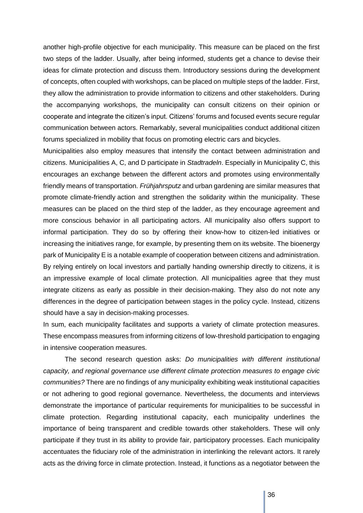another high-profile objective for each municipality. This measure can be placed on the first two steps of the ladder. Usually, after being informed, students get a chance to devise their ideas for climate protection and discuss them. Introductory sessions during the development of concepts, often coupled with workshops, can be placed on multiple steps of the ladder. First, they allow the administration to provide information to citizens and other stakeholders. During the accompanying workshops, the municipality can consult citizens on their opinion or cooperate and integrate the citizen's input. Citizens' forums and focused events secure regular communication between actors. Remarkably, several municipalities conduct additional citizen forums specialized in mobility that focus on promoting electric cars and bicycles.

Municipalities also employ measures that intensify the contact between administration and citizens. Municipalities A, C, and D participate in *Stadtradeln*. Especially in Municipality C, this encourages an exchange between the different actors and promotes using environmentally friendly means of transportation. *Frühjahrsputz* and urban gardening are similar measures that promote climate-friendly action and strengthen the solidarity within the municipality. These measures can be placed on the third step of the ladder, as they encourage agreement and more conscious behavior in all participating actors. All municipality also offers support to informal participation. They do so by offering their know-how to citizen-led initiatives or increasing the initiatives range, for example, by presenting them on its website. The bioenergy park of Municipality E is a notable example of cooperation between citizens and administration. By relying entirely on local investors and partially handing ownership directly to citizens, it is an impressive example of local climate protection. All municipalities agree that they must integrate citizens as early as possible in their decision-making. They also do not note any differences in the degree of participation between stages in the policy cycle. Instead, citizens should have a say in decision-making processes.

In sum, each municipality facilitates and supports a variety of climate protection measures. These encompass measures from informing citizens of low-threshold participation to engaging in intensive cooperation measures.

The second research question asks: *Do municipalities with different institutional capacity, and regional governance use different climate protection measures to engage civic communities?* There are no findings of any municipality exhibiting weak institutional capacities or not adhering to good regional governance. Nevertheless, the documents and interviews demonstrate the importance of particular requirements for municipalities to be successful in climate protection. Regarding institutional capacity, each municipality underlines the importance of being transparent and credible towards other stakeholders. These will only participate if they trust in its ability to provide fair, participatory processes. Each municipality accentuates the fiduciary role of the administration in interlinking the relevant actors. It rarely acts as the driving force in climate protection. Instead, it functions as a negotiator between the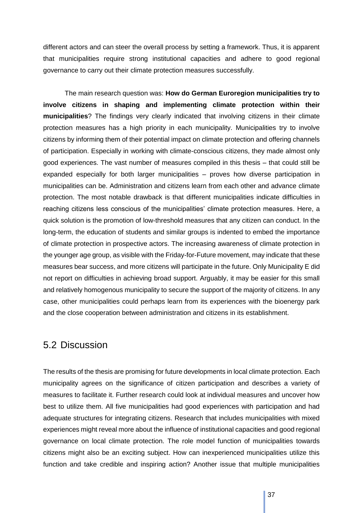different actors and can steer the overall process by setting a framework. Thus, it is apparent that municipalities require strong institutional capacities and adhere to good regional governance to carry out their climate protection measures successfully.

The main research question was: **How do German Euroregion municipalities try to involve citizens in shaping and implementing climate protection within their municipalities**? The findings very clearly indicated that involving citizens in their climate protection measures has a high priority in each municipality. Municipalities try to involve citizens by informing them of their potential impact on climate protection and offering channels of participation. Especially in working with climate-conscious citizens, they made almost only good experiences. The vast number of measures compiled in this thesis – that could still be expanded especially for both larger municipalities – proves how diverse participation in municipalities can be. Administration and citizens learn from each other and advance climate protection. The most notable drawback is that different municipalities indicate difficulties in reaching citizens less conscious of the municipalities' climate protection measures. Here, a quick solution is the promotion of low-threshold measures that any citizen can conduct. In the long-term, the education of students and similar groups is indented to embed the importance of climate protection in prospective actors. The increasing awareness of climate protection in the younger age group, as visible with the Friday-for-Future movement, may indicate that these measures bear success, and more citizens will participate in the future. Only Municipality E did not report on difficulties in achieving broad support. Arguably, it may be easier for this small and relatively homogenous municipality to secure the support of the majority of citizens. In any case, other municipalities could perhaps learn from its experiences with the bioenergy park and the close cooperation between administration and citizens in its establishment.

# <span id="page-36-0"></span>5.2 Discussion

The results of the thesis are promising for future developments in local climate protection. Each municipality agrees on the significance of citizen participation and describes a variety of measures to facilitate it. Further research could look at individual measures and uncover how best to utilize them. All five municipalities had good experiences with participation and had adequate structures for integrating citizens. Research that includes municipalities with mixed experiences might reveal more about the influence of institutional capacities and good regional governance on local climate protection. The role model function of municipalities towards citizens might also be an exciting subject. How can inexperienced municipalities utilize this function and take credible and inspiring action? Another issue that multiple municipalities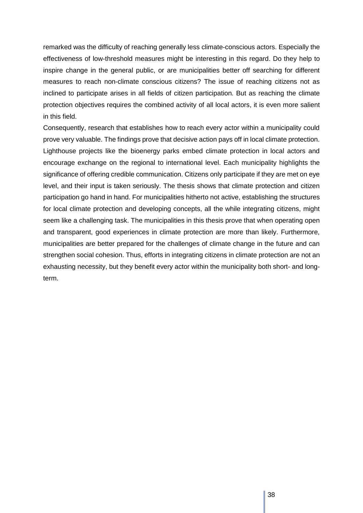remarked was the difficulty of reaching generally less climate-conscious actors. Especially the effectiveness of low-threshold measures might be interesting in this regard. Do they help to inspire change in the general public, or are municipalities better off searching for different measures to reach non-climate conscious citizens? The issue of reaching citizens not as inclined to participate arises in all fields of citizen participation. But as reaching the climate protection objectives requires the combined activity of all local actors, it is even more salient in this field.

Consequently, research that establishes how to reach every actor within a municipality could prove very valuable. The findings prove that decisive action pays off in local climate protection. Lighthouse projects like the bioenergy parks embed climate protection in local actors and encourage exchange on the regional to international level. Each municipality highlights the significance of offering credible communication. Citizens only participate if they are met on eye level, and their input is taken seriously. The thesis shows that climate protection and citizen participation go hand in hand. For municipalities hitherto not active, establishing the structures for local climate protection and developing concepts, all the while integrating citizens, might seem like a challenging task. The municipalities in this thesis prove that when operating open and transparent, good experiences in climate protection are more than likely. Furthermore, municipalities are better prepared for the challenges of climate change in the future and can strengthen social cohesion. Thus, efforts in integrating citizens in climate protection are not an exhausting necessity, but they benefit every actor within the municipality both short- and longterm.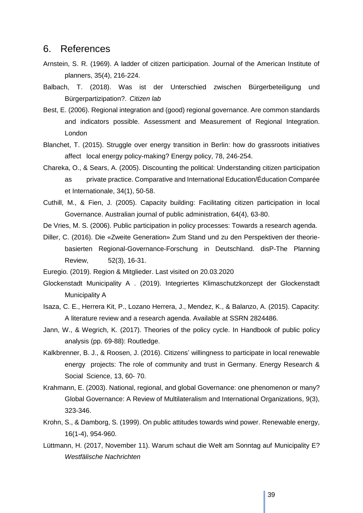## <span id="page-38-0"></span>6. References

- Arnstein, S. R. (1969). A ladder of citizen participation. Journal of the American Institute of planners, 35(4), 216-224.
- Balbach, T. (2018). Was ist der Unterschied zwischen Bürgerbeteiligung und Bürgerpartizipation?. *Citizen lab*
- Best, E. (2006). Regional integration and (good) regional governance. Are common standards and indicators possible. Assessment and Measurement of Regional Integration. London
- Blanchet, T. (2015). Struggle over energy transition in Berlin: how do grassroots initiatives affect local energy policy-making? Energy policy, 78, 246-254.
- Chareka, O., & Sears, A. (2005). Discounting the political: Understanding citizen participation as private practice. Comparative and International Education/Éducation Comparée et Internationale, 34(1), 50-58.
- Cuthill, M., & Fien, J. (2005). Capacity building: Facilitating citizen participation in local Governance. Australian journal of public administration, 64(4), 63-80.
- De Vries, M. S. (2006). Public participation in policy processes: Towards a research agenda.
- Diller, C. (2016). Die «Zweite Generation» Zum Stand und zu den Perspektiven der theoriebasierten Regional-Governance-Forschung in Deutschland. disP-The Planning Review, 52(3), 16-31.
- Euregio. (2019). Region & Mitglieder. Last visited on 20.03.2020
- Glockenstadt Municipality A . (2019). Integriertes Klimaschutzkonzept der Glockenstadt Municipality A
- Isaza, C. E., Herrera Kit, P., Lozano Herrera, J., Mendez, K., & Balanzo, A. (2015). Capacity: A literature review and a research agenda. Available at SSRN 2824486.
- Jann, W., & Wegrich, K. (2017). Theories of the policy cycle. In Handbook of public policy analysis (pp. 69-88): Routledge.
- Kalkbrenner, B. J., & Roosen, J. (2016). Citizens' willingness to participate in local renewable energy projects: The role of community and trust in Germany. Energy Research & Social Science, 13, 60- 70.
- Krahmann, E. (2003). National, regional, and global Governance: one phenomenon or many? Global Governance: A Review of Multilateralism and International Organizations, 9(3), 323-346.
- Krohn, S., & Damborg, S. (1999). On public attitudes towards wind power. Renewable energy, 16(1-4), 954-960.
- Lüttmann, H. (2017, November 11). Warum schaut die Welt am Sonntag auf Municipality E? *Westfälische Nachrichten*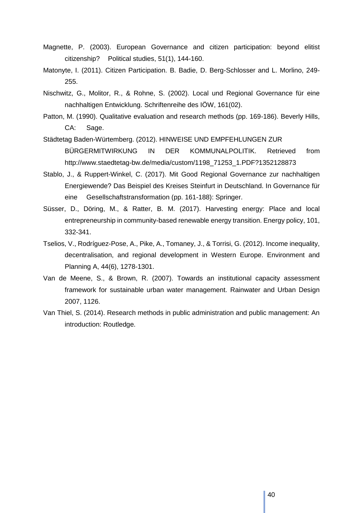- Magnette, P. (2003). European Governance and citizen participation: beyond elitist citizenship? Political studies, 51(1), 144-160.
- Matonyte, I. (2011). Citizen Participation. B. Badie, D. Berg-Schlosser and L. Morlino, 249- 255.
- Nischwitz, G., Molitor, R., & Rohne, S. (2002). Local und Regional Governance für eine nachhaltigen Entwicklung. Schriftenreihe des IÖW, 161(02).
- Patton, M. (1990). Qualitative evaluation and research methods (pp. 169-186). Beverly Hills, CA: Sage.
- Städtetag Baden-Würtemberg. (2012). HINWEISE UND EMPFEHLUNGEN ZUR BÜRGERMITWIRKUNG IN DER KOMMUNALPOLITIK. Retrieved from http://www.staedtetag-bw.de/media/custom/1198\_71253\_1.PDF?1352128873
- Stablo, J., & Ruppert-Winkel, C. (2017). Mit Good Regional Governance zur nachhaltigen Energiewende? Das Beispiel des Kreises Steinfurt in Deutschland. In Governance für eine Gesellschaftstransformation (pp. 161-188): Springer.
- Süsser, D., Döring, M., & Ratter, B. M. (2017). Harvesting energy: Place and local entrepreneurship in community-based renewable energy transition. Energy policy, 101, 332-341.
- Tselios, V., Rodríguez-Pose, A., Pike, A., Tomaney, J., & Torrisi, G. (2012). Income inequality, decentralisation, and regional development in Western Europe. Environment and Planning A, 44(6), 1278-1301.
- Van de Meene, S., & Brown, R. (2007). Towards an institutional capacity assessment framework for sustainable urban water management. Rainwater and Urban Design 2007, 1126.
- Van Thiel, S. (2014). Research methods in public administration and public management: An introduction: Routledge.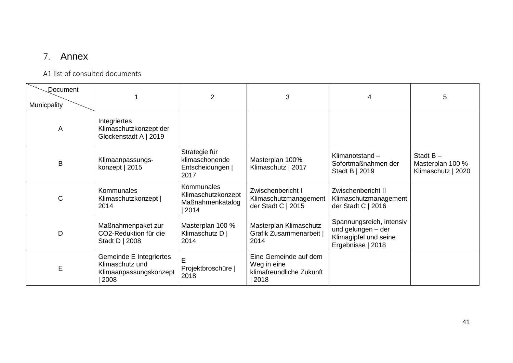# 7. Annex

## A1 list of consulted documents

<span id="page-40-1"></span><span id="page-40-0"></span>

| Document<br>Municpality |                                                                              | $\overline{2}$                                                      | 3                                                                        | 4                                                                                            | 5                                                     |
|-------------------------|------------------------------------------------------------------------------|---------------------------------------------------------------------|--------------------------------------------------------------------------|----------------------------------------------------------------------------------------------|-------------------------------------------------------|
| A                       | Integriertes<br>Klimaschutzkonzept der<br>Glockenstadt A   2019              |                                                                     |                                                                          |                                                                                              |                                                       |
| B                       | Klimaanpassungs-<br>konzept   2015                                           | Strategie für<br>klimaschonende<br>Entscheidungen  <br>2017         | Masterplan 100%<br>Klimaschutz   2017                                    | Klimanotstand-<br>Sofortmaßnahmen der<br>Stadt B   2019                                      | Stadt $B -$<br>Masterplan 100 %<br>Klimaschutz   2020 |
| С                       | Kommunales<br>Klimaschutzkonzept  <br>2014                                   | <b>Kommunales</b><br>Klimaschutzkonzept<br>Maßnahmenkatalog<br>2014 | Zwischenbericht I<br>Klimaschutzmanagement<br>der Stadt C   2015         | Zwischenbericht II<br>Klimaschutzmanagement<br>der Stadt C   2016                            |                                                       |
| D                       | Maßnahmenpaket zur<br>CO2-Reduktion für die<br>Stadt D   2008                | Masterplan 100 %<br>Klimaschutz D  <br>2014                         | Masterplan Klimaschutz<br>Grafik Zusammenarbeit  <br>2014                | Spannungsreich, intensiv<br>und gelungen - der<br>Klimagipfel und seine<br>Ergebnisse   2018 |                                                       |
| E                       | Gemeinde E Integriertes<br>Klimaschutz und<br>Klimaanpassungskonzept<br>2008 | E<br>Projektbroschüre  <br>2018                                     | Eine Gemeinde auf dem<br>Weg in eine<br>klimafreundliche Zukunft<br>2018 |                                                                                              |                                                       |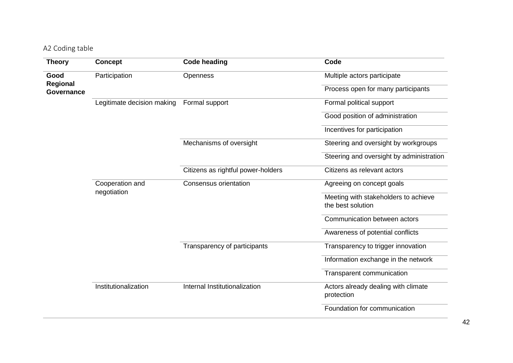# A2 Coding table

<span id="page-41-0"></span>

| <b>Theory</b>                 | <b>Concept</b>             | <b>Code heading</b>                | Code                                     |
|-------------------------------|----------------------------|------------------------------------|------------------------------------------|
| Good                          | Participation              | <b>Openness</b>                    | Multiple actors participate              |
| Regional<br><b>Governance</b> |                            |                                    | Process open for many participants       |
|                               | Legitimate decision making | Formal support                     | Formal political support                 |
|                               |                            |                                    | Good position of administration          |
|                               |                            |                                    | Incentives for participation             |
|                               |                            | Mechanisms of oversight            | Steering and oversight by workgroups     |
|                               |                            |                                    | Steering and oversight by administration |
|                               |                            | Citizens as rightful power-holders | Citizens as relevant actors              |
|                               | Cooperation and            | <b>Consensus orientation</b>       | Agreeing on concept goals                |
|                               | negotiation                |                                    | Meeting with stakeholders to achieve     |
|                               |                            |                                    | the best solution                        |
|                               |                            |                                    | Communication between actors             |
|                               |                            |                                    | Awareness of potential conflicts         |
|                               |                            | Transparency of participants       | Transparency to trigger innovation       |
|                               |                            |                                    | Information exchange in the network      |
|                               |                            |                                    | Transparent communication                |
|                               | Institutionalization       | Internal Institutionalization      | Actors already dealing with climate      |
|                               |                            |                                    | protection                               |
|                               |                            |                                    | Foundation for communication             |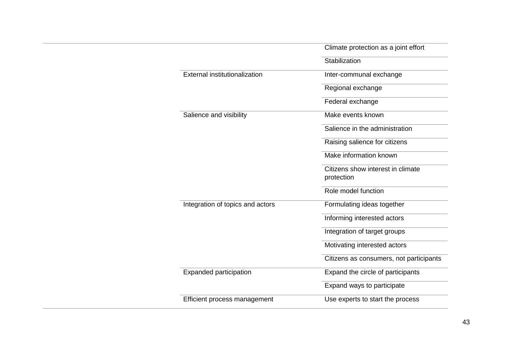|                                      | Climate protection as a joint effort    |
|--------------------------------------|-----------------------------------------|
|                                      | Stabilization                           |
| <b>External institutionalization</b> | Inter-communal exchange                 |
|                                      | Regional exchange                       |
|                                      | Federal exchange                        |
| Salience and visibility              | Make events known                       |
|                                      | Salience in the administration          |
|                                      | Raising salience for citizens           |
|                                      | Make information known                  |
|                                      | Citizens show interest in climate       |
|                                      | protection                              |
|                                      | Role model function                     |
| Integration of topics and actors     | Formulating ideas together              |
|                                      | Informing interested actors             |
|                                      | Integration of target groups            |
|                                      | Motivating interested actors            |
|                                      | Citizens as consumers, not participants |
| <b>Expanded participation</b>        | Expand the circle of participants       |
|                                      | Expand ways to participate              |
| Efficient process management         | Use experts to start the process        |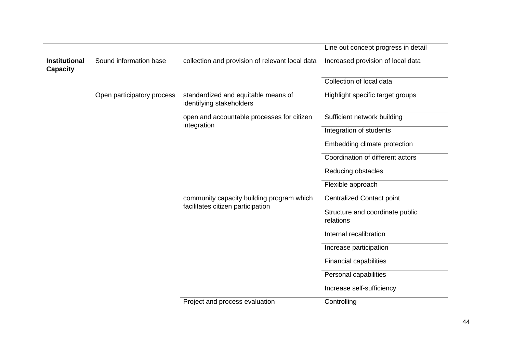|                                         |                            |                                                                                | Line out concept progress in detail          |
|-----------------------------------------|----------------------------|--------------------------------------------------------------------------------|----------------------------------------------|
| <b>Institutional</b><br><b>Capacity</b> | Sound information base     | collection and provision of relevant local data                                | Increased provision of local data            |
|                                         |                            |                                                                                | Collection of local data                     |
|                                         | Open participatory process | standardized and equitable means of<br>identifying stakeholders                | Highlight specific target groups             |
|                                         |                            | open and accountable processes for citizen                                     | Sufficient network building                  |
|                                         |                            | integration                                                                    | Integration of students                      |
|                                         |                            |                                                                                | Embedding climate protection                 |
|                                         |                            |                                                                                | Coordination of different actors             |
|                                         |                            |                                                                                | Reducing obstacles                           |
|                                         |                            |                                                                                | Flexible approach                            |
|                                         |                            | community capacity building program which<br>facilitates citizen participation | <b>Centralized Contact point</b>             |
|                                         |                            |                                                                                | Structure and coordinate public<br>relations |
|                                         |                            |                                                                                | Internal recalibration                       |
|                                         |                            |                                                                                | Increase participation                       |
|                                         |                            |                                                                                | <b>Financial capabilities</b>                |
|                                         |                            |                                                                                | Personal capabilities                        |
|                                         |                            |                                                                                | Increase self-sufficiency                    |
|                                         |                            | Project and process evaluation                                                 | Controlling                                  |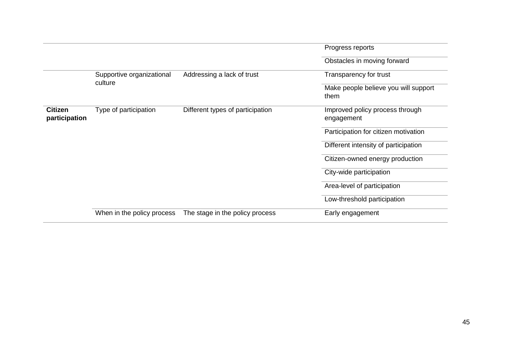|                                 |                           |                                  | Progress reports                              |
|---------------------------------|---------------------------|----------------------------------|-----------------------------------------------|
|                                 |                           |                                  | Obstacles in moving forward                   |
|                                 | Supportive organizational | Addressing a lack of trust       | Transparency for trust                        |
|                                 | culture                   |                                  | Make people believe you will support<br>them  |
| <b>Citizen</b><br>participation | Type of participation     | Different types of participation | Improved policy process through<br>engagement |
|                                 |                           |                                  | Participation for citizen motivation          |
|                                 |                           |                                  | Different intensity of participation          |
|                                 |                           |                                  | Citizen-owned energy production               |
|                                 |                           |                                  | City-wide participation                       |
|                                 |                           |                                  | Area-level of participation                   |
| When in the policy process      |                           | Low-threshold participation      |                                               |
|                                 |                           | The stage in the policy process  | Early engagement                              |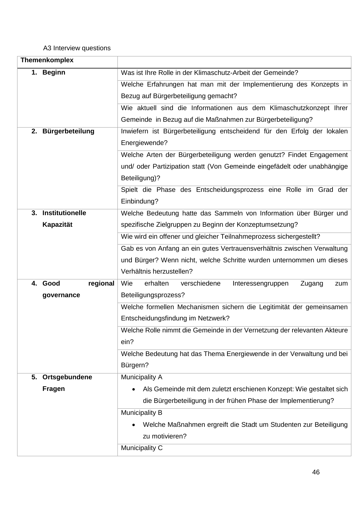## <span id="page-45-0"></span>A3 Interview questions

|    | Themenkomplex          |                                                                          |  |
|----|------------------------|--------------------------------------------------------------------------|--|
|    | 1. Beginn              | Was ist Ihre Rolle in der Klimaschutz-Arbeit der Gemeinde?               |  |
|    |                        | Welche Erfahrungen hat man mit der Implementierung des Konzepts in       |  |
|    |                        | Bezug auf Bürgerbeteiligung gemacht?                                     |  |
|    |                        | Wie aktuell sind die Informationen aus dem Klimaschutzkonzept Ihrer      |  |
|    |                        | Gemeinde in Bezug auf die Maßnahmen zur Bürgerbeteiligung?               |  |
| 2. | Bürgerbeteilung        | Inwiefern ist Bürgerbeteiligung entscheidend für den Erfolg der lokalen  |  |
|    |                        | Energiewende?                                                            |  |
|    |                        | Welche Arten der Bürgerbeteiligung werden genutzt? Findet Engagement     |  |
|    |                        | und/ oder Partizipation statt (Von Gemeinde eingefädelt oder unabhängige |  |
|    |                        | Beteiligung)?                                                            |  |
|    |                        | Spielt die Phase des Entscheidungsprozess eine Rolle im Grad der         |  |
|    |                        | Einbindung?                                                              |  |
| 3. | <b>Institutionelle</b> | Welche Bedeutung hatte das Sammeln von Information über Bürger und       |  |
|    | Kapazität              | spezifische Zielgruppen zu Beginn der Konzeptumsetzung?                  |  |
|    |                        | Wie wird ein offener und gleicher Teilnahmeprozess sichergestellt?       |  |
|    |                        | Gab es von Anfang an ein gutes Vertrauensverhältnis zwischen Verwaltung  |  |
|    |                        | und Bürger? Wenn nicht, welche Schritte wurden unternommen um dieses     |  |
|    |                        | Verhältnis herzustellen?                                                 |  |
|    | regional<br>4. Good    | Wie<br>erhalten<br>verschiedene<br>Interessengruppen<br>Zugang<br>zum    |  |
|    | governance             | Beteiligungsprozess?                                                     |  |
|    |                        | Welche formellen Mechanismen sichern die Legitimität der gemeinsamen     |  |
|    |                        | Entscheidungsfindung im Netzwerk?                                        |  |
|    |                        | Welche Rolle nimmt die Gemeinde in der Vernetzung der relevanten Akteure |  |
|    |                        | ein?                                                                     |  |
|    |                        | Welche Bedeutung hat das Thema Energiewende in der Verwaltung und bei    |  |
|    |                        | Bürgern?                                                                 |  |
| 5. | Ortsgebundene          | Municipality A                                                           |  |
|    | <b>Fragen</b>          | Als Gemeinde mit dem zuletzt erschienen Konzept: Wie gestaltet sich      |  |
|    |                        | die Bürgerbeteiligung in der frühen Phase der Implementierung?           |  |
|    |                        | Municipality B                                                           |  |
|    |                        | Welche Maßnahmen ergreift die Stadt um Studenten zur Beteiligung         |  |
|    |                        | zu motivieren?                                                           |  |
|    |                        | Municipality C                                                           |  |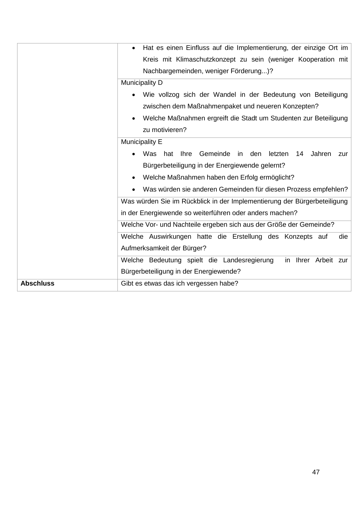|                  | Hat es einen Einfluss auf die Implementierung, der einzige Ort im        |  |  |
|------------------|--------------------------------------------------------------------------|--|--|
|                  | Kreis mit Klimaschutzkonzept zu sein (weniger Kooperation mit            |  |  |
|                  | Nachbargemeinden, weniger Förderung)?                                    |  |  |
|                  | <b>Municipality D</b>                                                    |  |  |
|                  | Wie vollzog sich der Wandel in der Bedeutung von Beteiligung             |  |  |
|                  | zwischen dem Maßnahmenpaket und neueren Konzepten?                       |  |  |
|                  | Welche Maßnahmen ergreift die Stadt um Studenten zur Beteiligung         |  |  |
|                  | zu motivieren?                                                           |  |  |
|                  | Municipality E                                                           |  |  |
|                  | Ihre Gemeinde in den letzten<br>hat<br>Jahren<br>Was<br>14<br>zur        |  |  |
|                  | Bürgerbeteiligung in der Energiewende gelernt?                           |  |  |
|                  | Welche Maßnahmen haben den Erfolg ermöglicht?                            |  |  |
|                  | Was würden sie anderen Gemeinden für diesen Prozess empfehlen?           |  |  |
|                  | Was würden Sie im Rückblick in der Implementierung der Bürgerbeteiligung |  |  |
|                  | in der Energiewende so weiterführen oder anders machen?                  |  |  |
|                  | Welche Vor- und Nachteile ergeben sich aus der Größe der Gemeinde?       |  |  |
|                  | Welche Auswirkungen hatte die Erstellung des Konzepts auf<br>die         |  |  |
|                  | Aufmerksamkeit der Bürger?                                               |  |  |
|                  | Welche Bedeutung spielt die Landesregierung<br>in Ihrer Arbeit zur       |  |  |
|                  | Bürgerbeteiligung in der Energiewende?                                   |  |  |
| <b>Abschluss</b> | Gibt es etwas das ich vergessen habe?                                    |  |  |